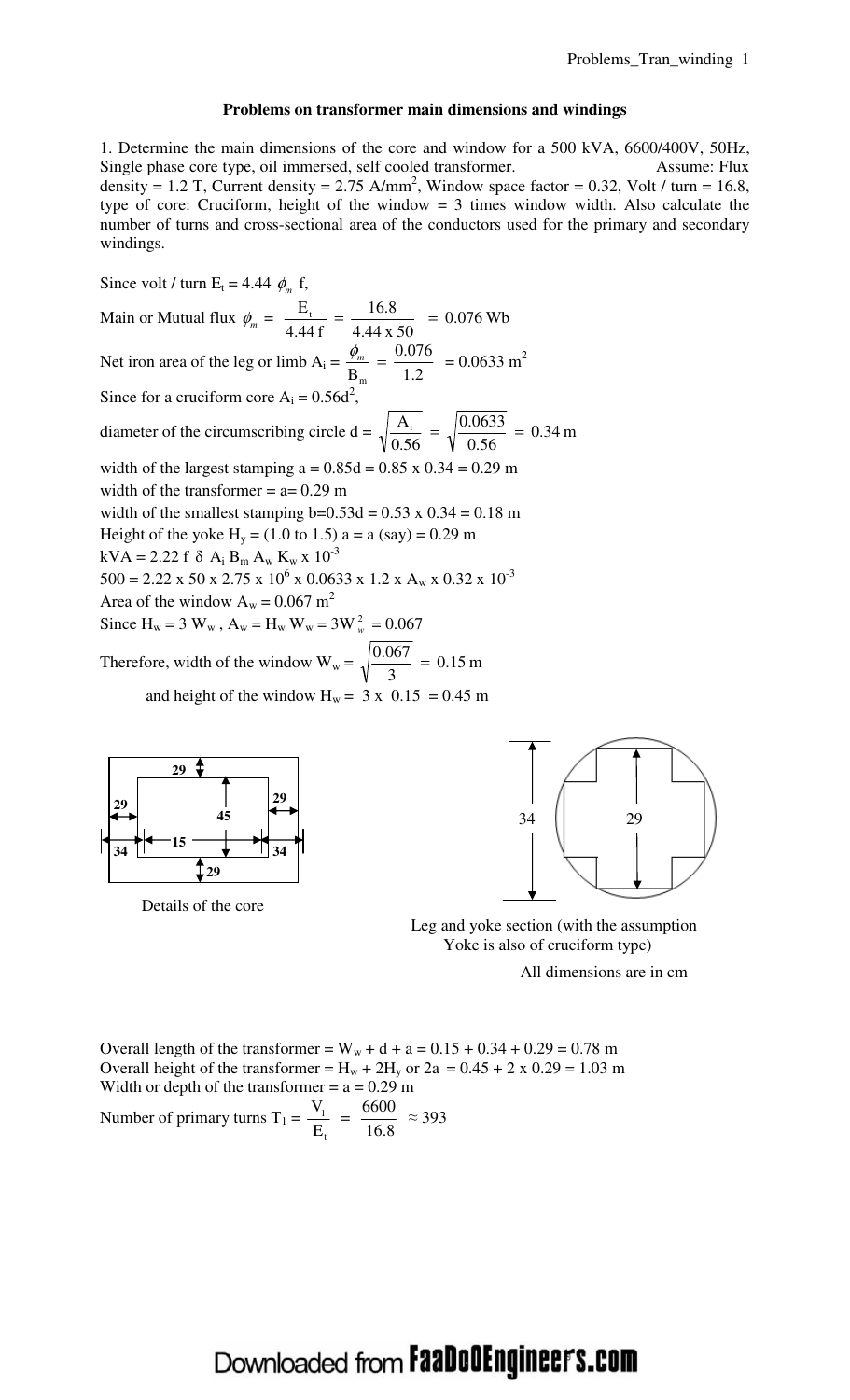#### **Problems on transformer main dimensions and windings**

1. Determine the main dimensions of the core and window for a 500 kVA, 6600/400V, 50Hz, Single phase core type, oil immersed, self cooled transformer. Assume: Flux density = 1.2 T, Current density = 2.75 A/mm<sup>2</sup>, Window space factor = 0.32, Volt / turn = 16.8, type of core: Cruciform, height of the window  $= 3$  times window width. Also calculate the number of turns and cross-sectional area of the conductors used for the primary and secondary windings.

Since volt / turn  $E_t = 4.44 \phi_m$  f, Main or Mutual flux  $\phi_m =$ 4.44 x 50  $=\frac{16.8}{1.11}$ 4.44 f  $\frac{E_t}{16.6} = \frac{16.8}{16.66} = 0.076$  Wb Net iron area of the leg or limb  $A_i =$ 1.2  $=\frac{0.076}{1.2}$  $B_{m}$  $\frac{\phi_m}{\phi_m} = \frac{0.076}{1.2} = 0.0633 \text{ m}^2$ Since for a cruciform core  $A_i = 0.56d^2$ , diameter of the circumscribing circle  $d = \sqrt{\frac{A_1}{2.55}} = \sqrt{\frac{0.00000}{0.55}} = 0.34$  m 0.56  $=\sqrt{\frac{0.0633}{0.55}}$ 0.56  $\frac{A_i}{\sqrt{56}} = \sqrt{\frac{0.0633}{0.56}}$ width of the largest stamping  $a = 0.85d = 0.85$  x  $0.34 = 0.29$  m width of the transformer  $= a = 0.29$  m width of the smallest stamping  $b=0.53d = 0.53$  x  $0.34 = 0.18$  m Height of the yoke  $H_v = (1.0 \text{ to } 1.5) a = a (say) = 0.29 \text{ m}$  $kVA = 2.22 f \delta A_i B_m A_w K_w x 10^{-3}$  $500 = 2.22 \times 50 \times 2.75 \times 10^6 \times 0.0633 \times 1.2 \times A_w \times 0.32 \times 10^{-3}$ Area of the window  $A_w = 0.067$  m<sup>2</sup> Since  $H_w = 3 W_w$ ,  $A_w = H_w W_w = 3W_w^2 = 0.067$ Therefore, width of the window  $W_w = \sqrt{\frac{0.007}{2}} = 0.15$  m 3  $\frac{0.067}{2}$  = and height of the window  $H_w = 3 \times 0.15 = 0.45$  m



Details of the core



 Leg and yoke section (with the assumption Yoke is also of cruciform type)

All dimensions are in cm

Overall length of the transformer =  $W_w + d + a = 0.15 + 0.34 + 0.29 = 0.78$  m Overall height of the transformer =  $H_w + 2H_y$  or 2a = 0.45 + 2 x 0.29 = 1.03 m Width or depth of the transformer  $= a = 0.29$  m Number of primary turns  $T_1 =$ t 1 E  $\frac{V_1}{V_1}$  = 16.8  $\frac{6600}{160} \approx 393$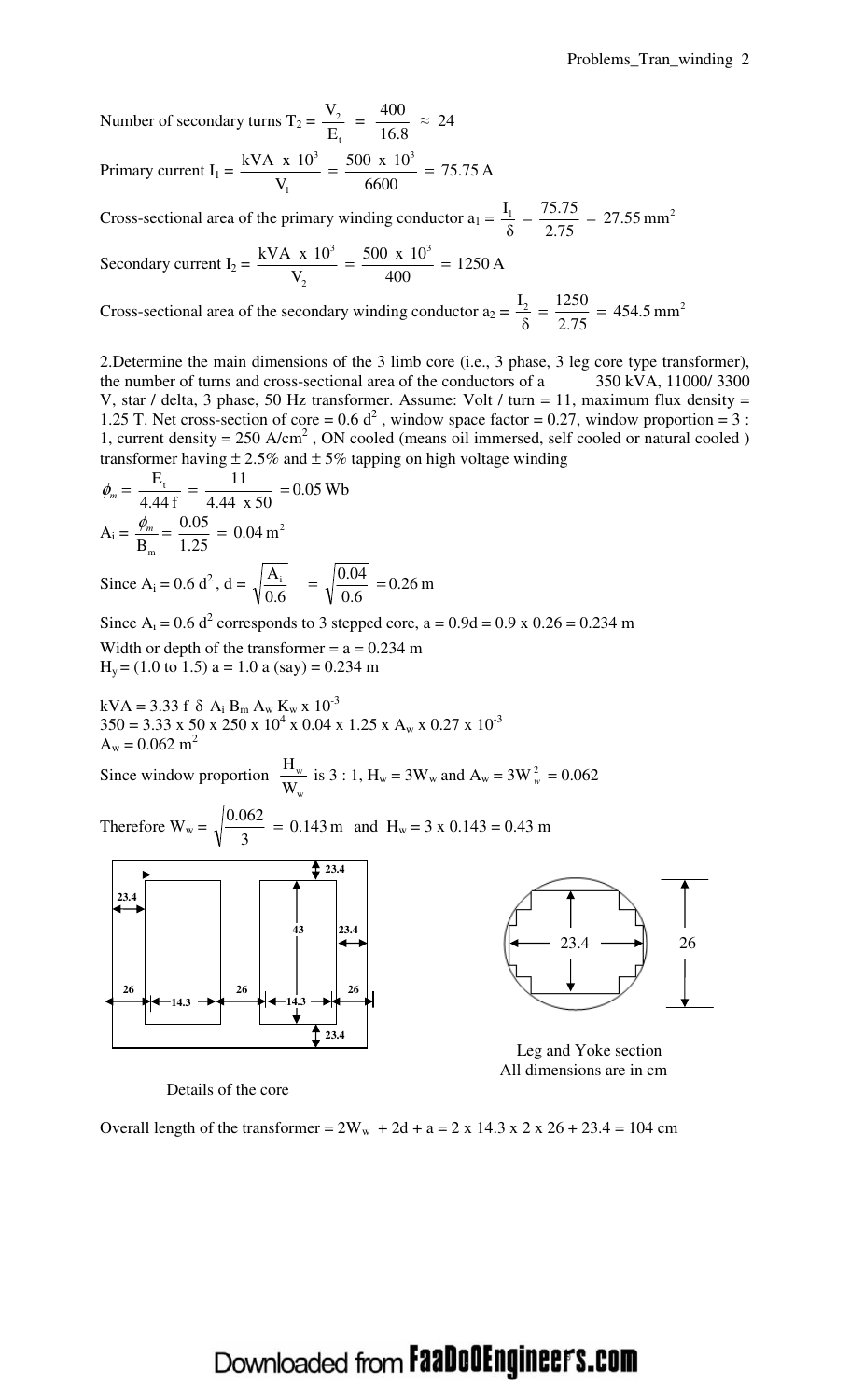Number of secondary turns  $T_2$  = t 2 E  $\frac{V_2}{V_1}$  = 16.8  $\frac{400}{160} \approx 24$ 

Primary current I<sub>1</sub> = 
$$
\frac{kVA \times 10^3}{V_1}
$$
 =  $\frac{500 \times 10^3}{6600}$  = 75.75 A

Cross-sectional area of the primary winding conductor  $a_1 = \frac{I_1}{s} = \frac{75.75}{275} = 27.55$  mm<sup>2</sup> 2.75  $\frac{I_1}{\delta} = \frac{75.75}{2.75}$  $I_1 = \frac{75.75}{3.75} =$ 

Secondary current  $I_2 = \frac{N + 1}{N} = \frac{560 \times 10}{400} = 1250 \text{ A}$ 400  $=\frac{500 \times 10}{100}$ V kVA x  $10^3$  500 x  $10^3$ 2  $=\frac{300 \text{ A} + 10}{100}$ 

Cross-sectional area of the secondary winding conductor  $a_2 = \frac{I_2}{s} = \frac{1250}{2.75} = 454.5$  mm<sup>2</sup> 2.75  $\frac{2}{8} = \frac{1250}{2.75}$  $\frac{I_2}{I_3} = \frac{1250}{275} =$ 

2.Determine the main dimensions of the 3 limb core (i.e., 3 phase, 3 leg core type transformer), the number of turns and cross-sectional area of the conductors of a 350 kVA, 11000/ 3300 V, star / delta, 3 phase, 50 Hz transformer. Assume: Volt / turn = 11, maximum flux density = 1.25 T. Net cross-section of core =  $0.6 d^2$ , window space factor = 0.27, window proportion = 3 : 1, current density =  $250$  A/cm<sup>2</sup>, ON cooled (means oil immersed, self cooled or natural cooled) transformer having  $\pm 2.5\%$  and  $\pm 5\%$  tapping on high voltage winding

$$
\phi_m = \frac{E_t}{4.44 f} = \frac{11}{4.44 \times 50} = 0.05 \text{ Wb}
$$
  
\n
$$
A_i = \frac{\phi_m}{B_m} = \frac{0.05}{1.25} = 0.04 \text{ m}^2
$$
  
\nSince  $A_i = 0.6 d^2$ ,  $d = \sqrt{\frac{A_i}{0.6}} = \sqrt{\frac{0.04}{0.6}} = 0.26 \text{ m}$ 

Since  $A_i = 0.6 d^2$  corresponds to 3 stepped core,  $a = 0.9d = 0.9 x 0.26 = 0.234 m$ Width or depth of the transformer  $= a = 0.234$  m  $H_y = (1.0 \text{ to } 1.5) a = 1.0 a (say) = 0.234 m$ 

$$
kVA = 3.33 f \delta A_1 B_m A_w K_w x 10^{-3}
$$
  
350 = 3.33 x 50 x 250 x 10<sup>4</sup> x 0.04 x 1.25 x A\_w x 0.27 x 10<sup>-3</sup>  
A\_w = 0.062 m<sup>2</sup>

Since window proportion w w W  $\frac{H_w}{W}$  is 3 : 1,  $H_w = 3W_w$  and  $A_w = 3W_w^2 = 0.062$ 

Therefore  $W_w = \sqrt{\frac{0.0022}{3}} = 0.143$  m 3  $\frac{0.062}{2}$  = 0.143 m and H<sub>w</sub> = 3 x 0.143 = 0.43 m





Leg and Yoke section

Details of the core

All dimensions are in cm

Overall length of the transformer =  $2W_w + 2d + a = 2 \times 14.3 \times 2 \times 26 + 23.4 = 104$  cm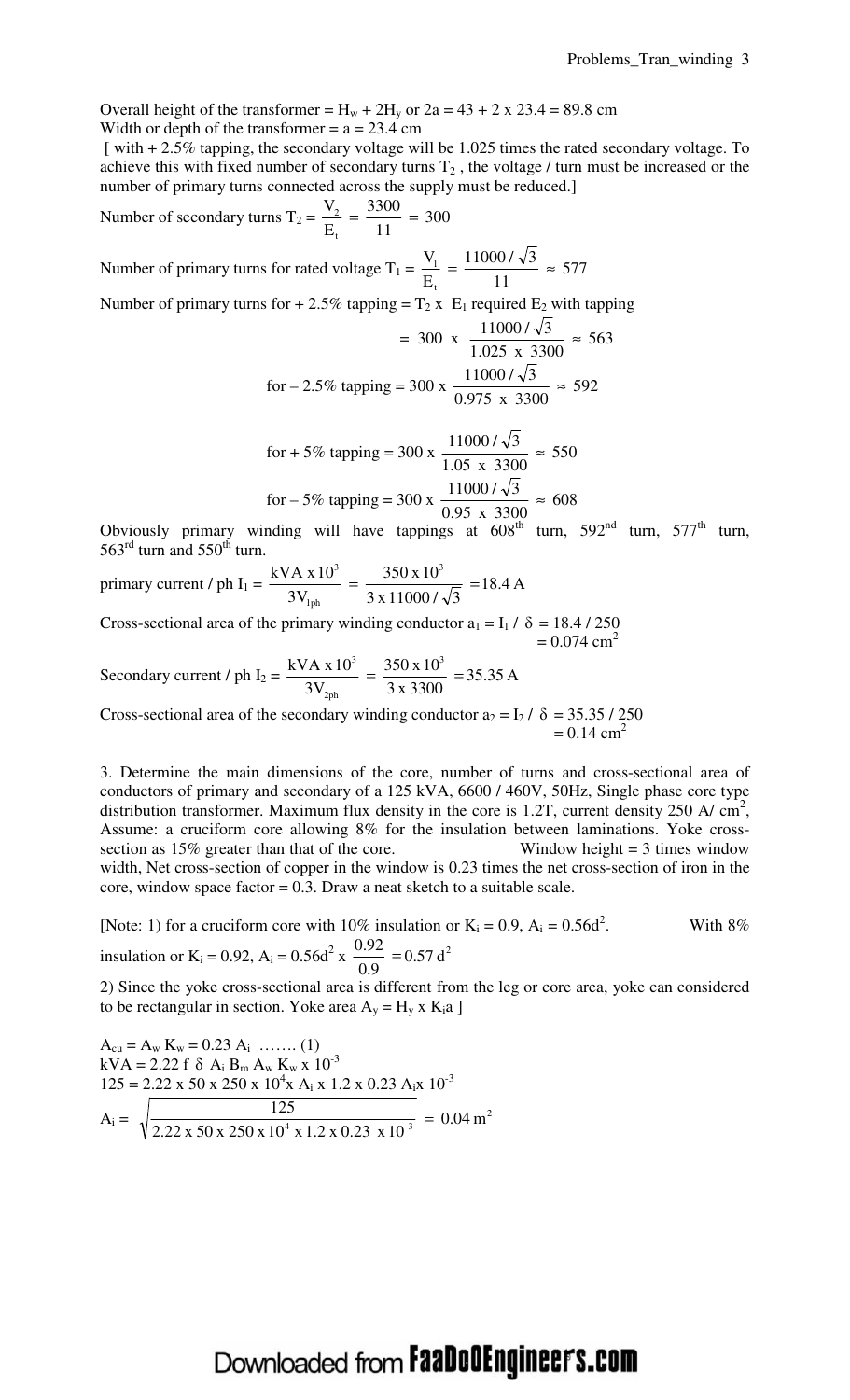Overall height of the transformer =  $H_w + 2H_y$  or  $2a = 43 + 2 \times 23.4 = 89.8$  cm Width or depth of the transformer  $= a = 23.4$  cm

 [ with + 2.5% tapping, the secondary voltage will be 1.025 times the rated secondary voltage. To achieve this with fixed number of secondary turns  $T_2$ , the voltage / turn must be increased or the number of primary turns connected across the supply must be reduced.]

Number of secondary turns 
$$
T_2 = \frac{V_2}{E_t} = \frac{3300}{11} = 300
$$

Number of primary turns for rated voltage  $T_1 = \frac{V_1}{T_1} = \frac{110007 \text{ V}}{11} \approx 577$ 11  $=\frac{11000 / \sqrt{3}}{11}$ E V t  $\frac{1}{1} = \frac{110007 \text{ V}^3}{44} \approx$ 

Number of primary turns for  $+ 2.5\%$  tapping = T<sub>2</sub> x E<sub>1</sub> required E<sub>2</sub> with tapping

$$
= 300 \times \frac{11000 / \sqrt{3}}{1.025 \times 3300} \approx 563
$$
  
for -2.5% tapping = 300 x  $\frac{11000 / \sqrt{3}}{0.975 \times 3300} \approx 592$ 

for + 5% tapping = 300 x 
$$
\frac{11000 / \sqrt{3}}{1.05 \times 3300} \approx 550
$$
  
for - 5% tapping = 300 x  $\frac{11000 / \sqrt{3}}{0.95 \times 3300} \approx 608$ 

Obviously primary winding will have tappings at  $608<sup>th</sup>$  turn,  $592<sup>nd</sup>$  turn,  $577<sup>th</sup>$  turn,  $563^{\text{rd}}$  turn and  $550^{\text{th}}$  turn.

primary current / ph I1 = 18.4 A  $3 \times 11000 / \sqrt{3}$ 350 x 10 3V  $kVA \times 10^3$  350 x 10<sup>3</sup> 1ph 3  $=\frac{330 \text{ A}}{2 \times 1000 \text{ A}} =$ 

Cross-sectional area of the primary winding conductor  $a_1 = I_1 / \delta = 18.4 / 250$  $= 0.074$  cm<sup>2</sup>

Secondary current / ph  $I_2 = \frac{N+1 \times 10^{10}}{2 \times 10^{10}} = \frac{350 \times 10^{10}}{2 \times 3200} = 35.35 \text{ A}$ 3 x 3300  $=\frac{350 \times 10}{2.220}$ 3V kVA x  $10^3$  350 x  $10^3$ 2ph 3  $=\frac{330 \times 10}{2 \times 2200}$  =

Cross-sectional area of the secondary winding conductor  $a_2 = I_2 / \delta = 35.35 / 250$  $= 0.14$  cm<sup>2</sup>

3. Determine the main dimensions of the core, number of turns and cross-sectional area of conductors of primary and secondary of a 125 kVA, 6600 / 460V, 50Hz, Single phase core type distribution transformer. Maximum flux density in the core is 1.2T, current density 250 A/  $\text{cm}^2$ , Assume: a cruciform core allowing 8% for the insulation between laminations. Yoke crosssection as 15% greater than that of the core. Window height = 3 times window width, Net cross-section of copper in the window is 0.23 times the net cross-section of iron in the core, window space factor  $= 0.3$ . Draw a neat sketch to a suitable scale.

[Note: 1) for a cruciform core with 10% insulation or  $K_i = 0.9$ ,  $A_i = 0.56d^2$ With 8% insulation or K<sub>i</sub> = 0.92, A<sub>i</sub> = 0.56d<sup>2</sup> x  $\frac{0.92}{0.8}$  = 0.57 d<sup>2</sup> 0.9  $\frac{0.92}{0.9}$  =

2) Since the yoke cross-sectional area is different from the leg or core area, yoke can considered to be rectangular in section. Yoke area  $A_y = H_y x K_i a$  ]

$$
A_{cu} = A_w K_w = 0.23 A_i \dots (1)
$$
  
\n
$$
kVA = 2.22 f \delta A_i B_m A_w K_w x 10^{-3}
$$
  
\n
$$
125 = 2.22 x 50 x 250 x 104 x Ai x 1.2 x 0.23 Ai x 10-3
$$
  
\n
$$
A_i = \sqrt{\frac{125}{2.22 x 50 x 250 x 104 x 1.2 x 0.23 x 10-3}} = 0.04 m2
$$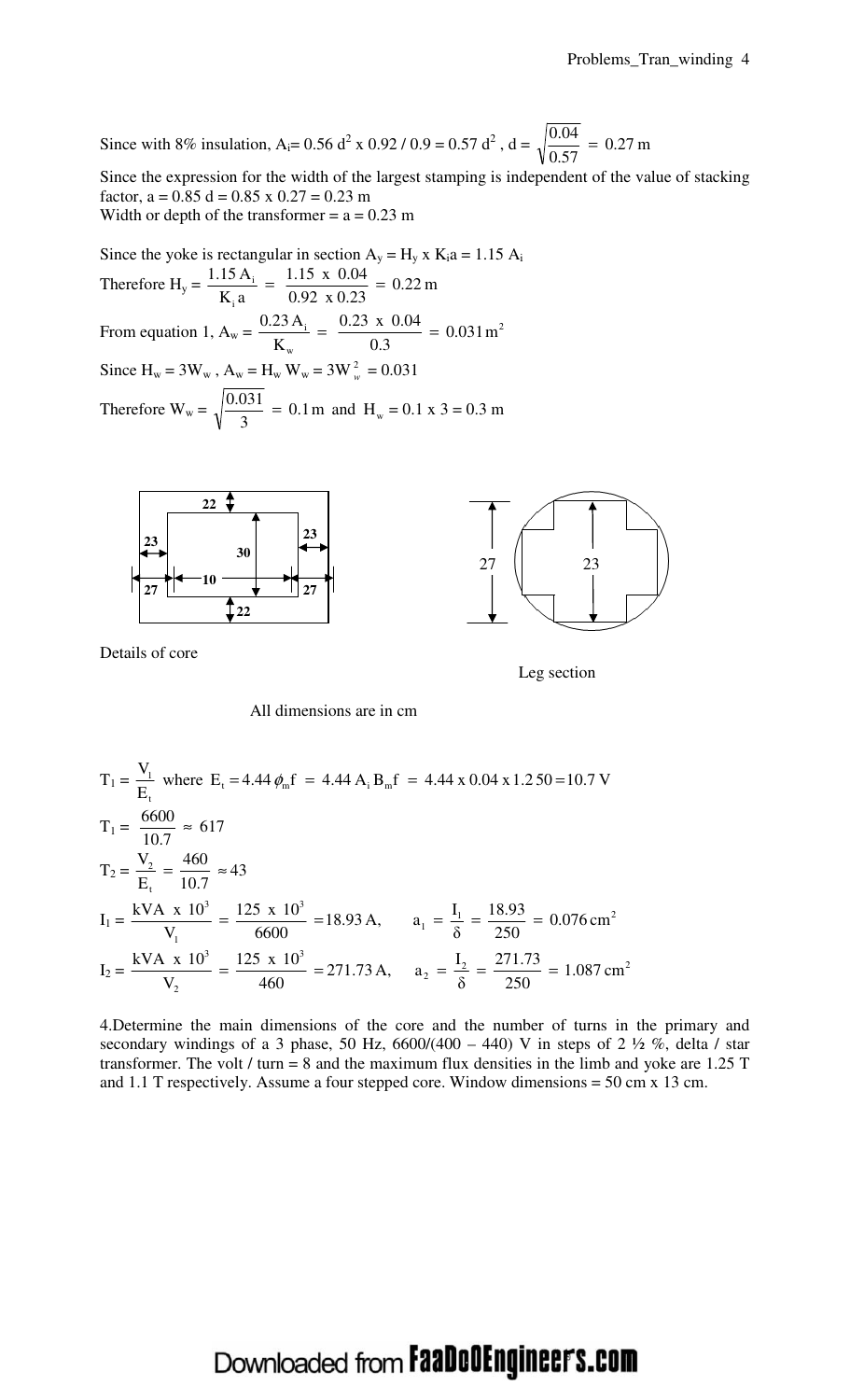Since with 8% insulation, A<sub>i</sub>= 0.56 d<sup>2</sup> x 0.92 / 0.9 = 0.57 d<sup>2</sup>, d =  $\sqrt{\frac{0.04}{0.57}}$  = 0.27 m  $0.57$  $\frac{0.04}{0.55}$  =

Since the expression for the width of the largest stamping is independent of the value of stacking factor,  $a = 0.85$  d = 0.85 x 0.27 = 0.23 m Width or depth of the transformer  $= a = 0.23$  m

Since the yoke is rectangular in section  $A_y = H_y x K_i a = 1.15 A_i$ Therefore  $H_y = \frac{1.15 \times 10^{-14}}{15} = \frac{1.15 \times 10^{14}}{0.02 \times 0.22} = 0.22$  m  $0.92 \times 0.23$  $=\frac{1.15 \times 0.04}{0.02 \times 0.22}$  $K_i a$ 1.15 A i  $\frac{1}{1} = \frac{1.13 \times 0.04}{0.02 \times 0.02} =$ From equation 1,  $A_w = \frac{0.23 \text{ A}}{V} = \frac{0.23 \text{ A}}{0.2 \text{ A}} = 0.031 \text{ m}^2$ w  $\frac{d}{dx} = \frac{0.23 \times 0.04}{0.2} = 0.031 \text{ m}$  $0.3$  $= \frac{0.23 \times 0.04}{0.25}$ K  $\frac{0.23 \text{ A}_{i}}{1} = \frac{0.23 \times 0.04}{0.2} =$ Since  $H_w = 3W_w$ ,  $A_w = H_w W_w = 3W_w^2 = 0.031$ Therefore  $W_w = \sqrt{\frac{0.005 \text{ m}}{2}} = 0.1 \text{ m}$  and  $H_w$ 3  $\frac{0.031}{2}$  = 0.1 m and H<sub>w</sub> = 0.1 x 3 = 0.3 m



Details of core



All dimensions are in cm

$$
T_1 = \frac{V_1}{E_t} \text{ where } E_t = 4.44 \phi_m f = 4.44 A_i B_m f = 4.44 x 0.04 x 1.250 = 10.7 V
$$
  
\n
$$
T_1 = \frac{6600}{10.7} \approx 617
$$
  
\n
$$
T_2 = \frac{V_2}{E_t} = \frac{460}{10.7} \approx 43
$$
  
\n
$$
I_1 = \frac{kVA \times 10^3}{V_1} = \frac{125 \times 10^3}{6600} = 18.93 A, \qquad a_1 = \frac{I_1}{\delta} = \frac{18.93}{250} = 0.076 \text{ cm}^2
$$
  
\n
$$
I_2 = \frac{kVA \times 10^3}{V_2} = \frac{125 \times 10^3}{460} = 271.73 A, \qquad a_2 = \frac{I_2}{\delta} = \frac{271.73}{250} = 1.087 \text{ cm}^2
$$

4.Determine the main dimensions of the core and the number of turns in the primary and secondary windings of a 3 phase, 50 Hz, 6600/(400 – 440) V in steps of 2  $\frac{1}{2}$  %, delta / star transformer. The volt / turn = 8 and the maximum flux densities in the limb and yoke are  $1.25$  T and 1.1 T respectively. Assume a four stepped core. Window dimensions = 50 cm x 13 cm.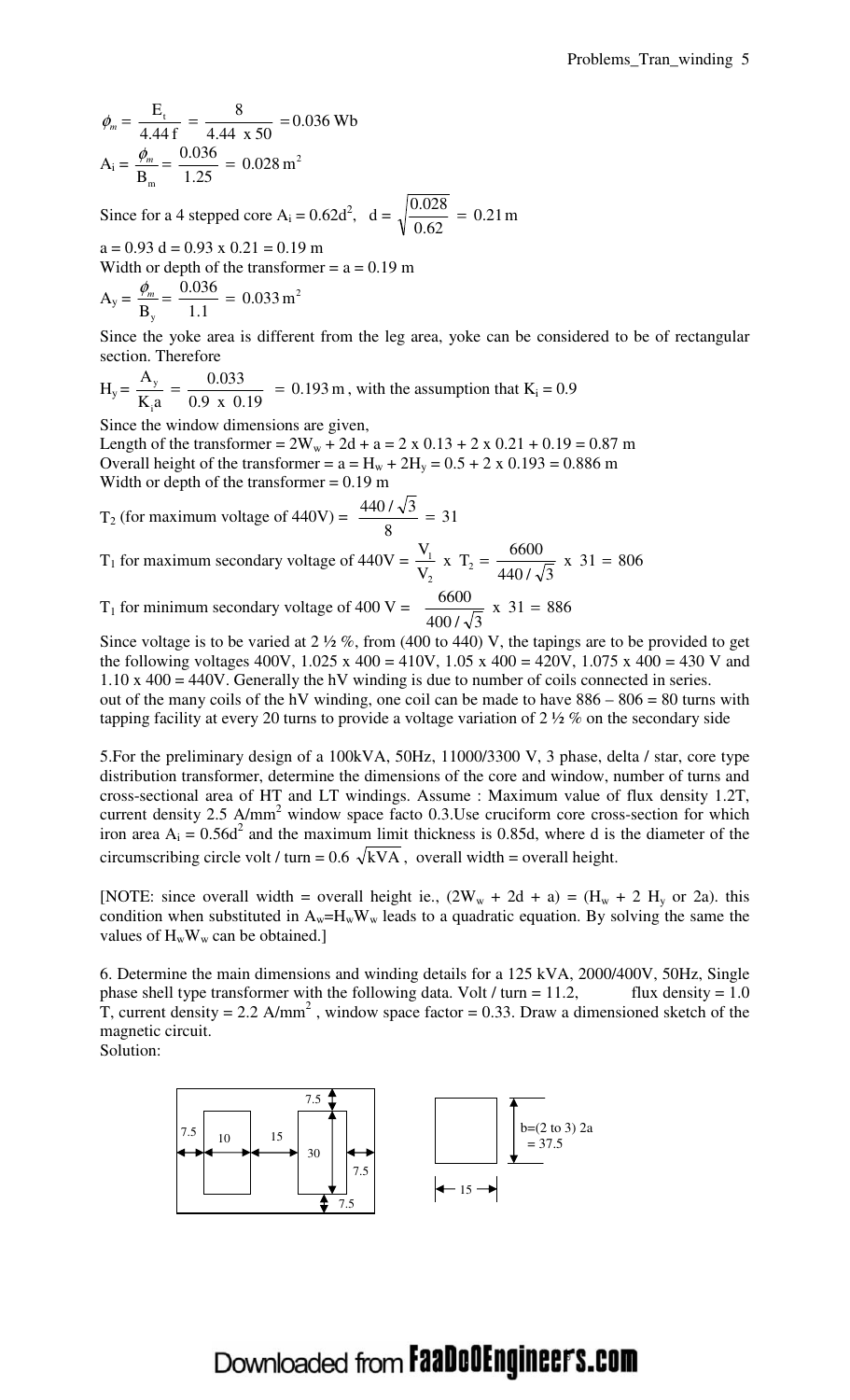$$
\phi_m = \frac{E_t}{4.44 f} = \frac{8}{4.44 x 50} = 0.036 \text{ Wb}
$$

$$
A_i = \frac{\phi_m}{B_m} = \frac{0.036}{1.25} = 0.028 \text{ m}^2
$$

Since for a 4 stepped core A<sub>i</sub> =  $0.62d^2$ , d =  $\sqrt{\frac{0.028}{0.62}}$  = 0.21 m 0.62  $\frac{0.028}{0.62}$  =

 $a = 0.93$  d = 0.93 x 0.21 = 0.19 m Width or depth of the transformer  $= a = 0.19$  m  $\overline{2}$ 0.036 φ*<sup>m</sup>*

$$
A_y = \frac{v_m}{B_y} = \frac{0.030}{1.1} = 0.033 \text{ m'}
$$

Since the yoke area is different from the leg area, yoke can be considered to be of rectangular section. Therefore

$$
H_y = \frac{A_y}{K_i a} = \frac{0.033}{0.9 \times 0.19} = 0.193 \text{ m}
$$
, with the assumption that  $K_i = 0.9$ 

Since the window dimensions are given,

Length of the transformer =  $2W_w + 2d + a = 2 \times 0.13 + 2 \times 0.21 + 0.19 = 0.87$  m Overall height of the transformer =  $a = H_w + 2H_v = 0.5 + 2 \times 0.193 = 0.886$  m Width or depth of the transformer  $= 0.19$  m

$$
T_2 \text{ (for maximum voltage of } 440 \text{V)} = \frac{440 / \sqrt{3}}{8} = 31
$$

 $T_1$  for maximum secondary voltage of  $440V = \frac{1}{N} \times T_2 = \frac{6000}{1100} \times 31 = 806$ 440 / √3  $x$  T<sub>2</sub> =  $\frac{6600}{1000}$ V V 2 2  $\frac{1}{2}$  x T<sub>2</sub> =  $\frac{0000}{1000}$  x 31 =

 $T_1$  for minimum secondary voltage of 400 V =  $\frac{0.000}{400}$  x 31 = 886  $400 / \sqrt{3}$  $\frac{6600}{1000 \sqrt{2}}$  x 31 =

Since voltage is to be varied at  $2\frac{1}{2}\%$ , from (400 to 440) V, the tapings are to be provided to get the following voltages 400V,  $1.025 \times 400 = 410V$ ,  $1.05 \times 400 = 420V$ ,  $1.075 \times 400 = 430 V$  and 1.10 x 400 = 440V. Generally the hV winding is due to number of coils connected in series. out of the many coils of the hV winding, one coil can be made to have  $886 - 806 = 80$  turns with tapping facility at every 20 turns to provide a voltage variation of  $2\frac{1}{2}\%$  on the secondary side

5.For the preliminary design of a 100kVA, 50Hz, 11000/3300 V, 3 phase, delta / star, core type distribution transformer, determine the dimensions of the core and window, number of turns and cross-sectional area of HT and LT windings. Assume : Maximum value of flux density 1.2T, current density  $2.5$  A/mm<sup>2</sup> window space facto  $0.3$ . Use cruciform core cross-section for which iron area  $A_i = 0.56d^2$  and the maximum limit thickness is 0.85d, where d is the diameter of the circumscribing circle volt / turn =  $0.6 \sqrt{kVA}$ , overall width = overall height.

[NOTE: since overall width = overall height ie.,  $(2W_w + 2d + a) = (H_w + 2 H_y)$  or 2a). this condition when substituted in  $A_w = H_w W_w$  leads to a quadratic equation. By solving the same the values of  $H_wW_w$  can be obtained.]

6. Determine the main dimensions and winding details for a 125 kVA, 2000/400V, 50Hz, Single phase shell type transformer with the following data. Volt / turn = 11.2, flux density = 1.0 T, current density = 2.2  $A/mm^2$ , window space factor = 0.33. Draw a dimensioned sketch of the magnetic circuit.

Solution:

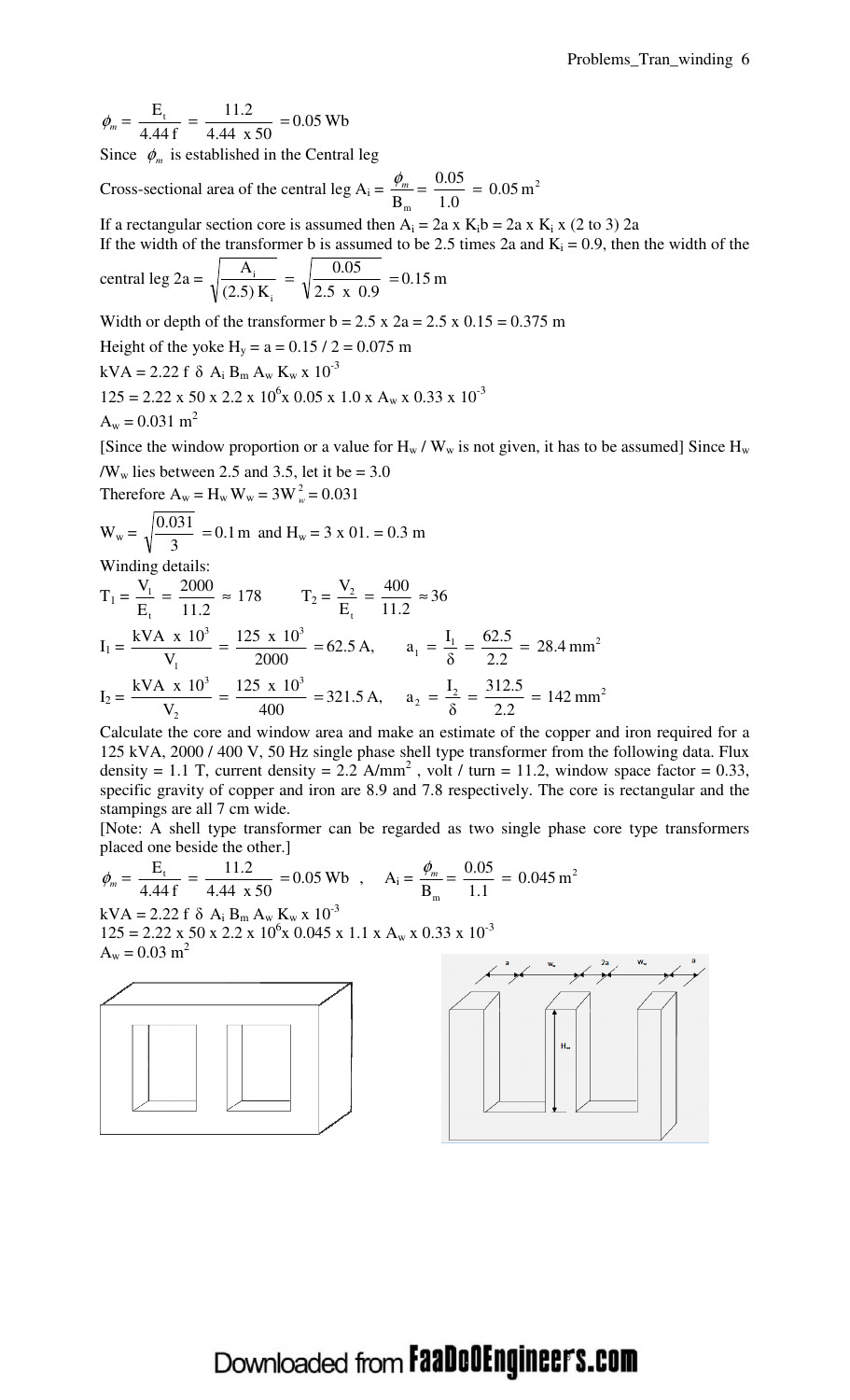$= 0.05$  Wb 4.44 x 50  $=\frac{11.2}{1.11}$ 4.44 f  $\phi_m = \frac{E_t}{1.44 \text{ s}} = \frac{11.2}{1.44 \text{ s}} = 0.05 \text{ Wb}$ Since  $\phi_m$  is established in the Central leg

Cross-sectional area of the central leg A<sub>i</sub> =  $\frac{\psi_m}{R} = \frac{0.05}{1.0} = 0.05 \text{ m}^2$ m  $= 0.05 \,\mathrm{m}$ 1.0  $\frac{0.05}{1.8}$ B  $\frac{\phi_m}{\phi_m} = \frac{0.05}{1.0}$ 

If a rectangular section core is assumed then  $A_i = 2a \times K_i b = 2a \times K_i \times (2 \text{ to } 3) 2a$ 

If the width of the transformer b is assumed to be 2.5 times 2a and  $K_i = 0.9$ , then the width of the

central leg 
$$
2a = \sqrt{\frac{A_i}{(2.5) K_i}} = \sqrt{\frac{0.05}{2.5 \times 0.9}} = 0.15 \text{ m}
$$

Width or depth of the transformer  $b = 2.5$  x  $2a = 2.5$  x  $0.15 = 0.375$  m

Height of the yoke  $H_v = a = 0.15 / 2 = 0.075$  m

 $kVA = 2.22 f \delta A_i B_m A_w K_w x 10^{-3}$  $125 = 2.22 \times 50 \times 2.2 \times 10^6 \times 0.05 \times 1.0 \times A_w \times 0.33 \times 10^{-3}$  $A_w = 0.031$  m<sup>2</sup>

[Since the window proportion or a value for  $H_w / W_w$  is not given, it has to be assumed] Since  $H_w$ / $W_w$  lies between 2.5 and 3.5, let it be = 3.0

Therefore  $A_w = H_w W_w = 3W_w^2 = 0.031$ 

$$
W_w = \sqrt{\frac{0.031}{3}} = 0.1 \text{ m}
$$
 and  $H_w = 3 \times 01 = 0.3 \text{ m}$   
Winding details:

Winding details:

$$
T_1 = \frac{V_1}{E_t} = \frac{2000}{11.2} \approx 178 \qquad T_2 = \frac{V_2}{E_t} = \frac{400}{11.2} \approx 36
$$
  
\n
$$
I_1 = \frac{kVA \times 10^3}{V_1} = \frac{125 \times 10^3}{2000} = 62.5 \text{ A}, \qquad a_1 = \frac{I_1}{\delta} = \frac{62.5}{2.2} = 28.4 \text{ mm}^2
$$
  
\n
$$
I_2 = \frac{kVA \times 10^3}{V_2} = \frac{125 \times 10^3}{400} = 321.5 \text{ A}, \qquad a_2 = \frac{I_2}{\delta} = \frac{312.5}{2.2} = 142 \text{ mm}^2
$$

Calculate the core and window area and make an estimate of the copper and iron required for a 125 kVA, 2000 / 400 V, 50 Hz single phase shell type transformer from the following data. Flux density = 1.1 T, current density = 2.2 A/mm<sup>2</sup>, volt / turn = 11.2, window space factor = 0.33, specific gravity of copper and iron are 8.9 and 7.8 respectively. The core is rectangular and the stampings are all 7 cm wide.

[Note: A shell type transformer can be regarded as two single phase core type transformers placed one beside the other.]

$$
\phi_m = \frac{E_t}{4.44 f} = \frac{11.2}{4.44 x 50} = 0.05 \text{ Wb} , \quad A_i = \frac{\phi_m}{B_m} = \frac{0.05}{1.1} = 0.045 \text{ m}^2
$$
  
\nkVA = 2.22 f  $\delta$  A<sub>i</sub> B<sub>m</sub> A<sub>w</sub> K<sub>w</sub> x 10<sup>-3</sup>  
\n125 = 2.22 x 50 x 2.2 x 10<sup>6</sup>x 0.045 x 1.1 x A<sub>w</sub> x 0.33 x 10<sup>-3</sup>  
\nA<sub>w</sub> = 0.03 m<sup>2</sup>



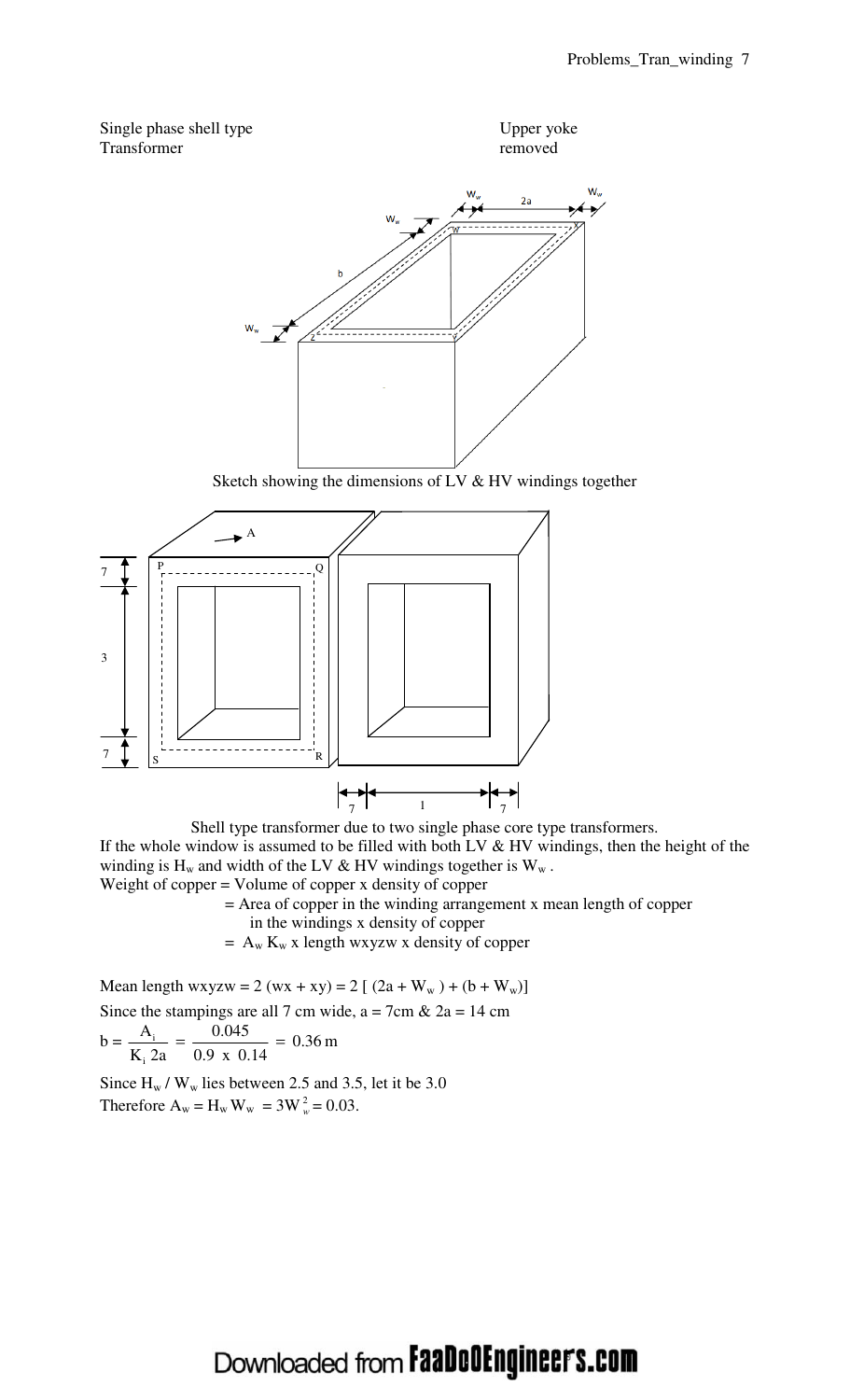



Sketch showing the dimensions of LV & HV windings together



Shell type transformer due to two single phase core type transformers.

If the whole window is assumed to be filled with both LV  $\&$  HV windings, then the height of the winding is  $H_w$  and width of the LV & HV windings together is  $W_w$ . Weight of copper = Volume of copper x density of copper

 = Area of copper in the winding arrangement x mean length of copper in the windings x density of copper

 $= A_w K_w x$  length wxyzw x density of copper

Mean length wxyzw = 2 (wx + xy) = 2 [  $(2a + W_w) + (b + W_w)$ ] Since the stampings are all 7 cm wide,  $a = 7$ cm &  $2a = 14$  cm  $b = \frac{1}{11.2} = \frac{0.015}{0.011} = 0.36$  m 0.9 x 0.14  $=\frac{0.045}{0.01}$  $K_i$  2a A i  $\frac{1}{2}$  =  $\frac{0.073}{0.0000}$  =

Since  $H_w$  /  $W_w$  lies between 2.5 and 3.5, let it be 3.0 Therefore  $A_w = H_w W_w = 3W_w^2 = 0.03$ .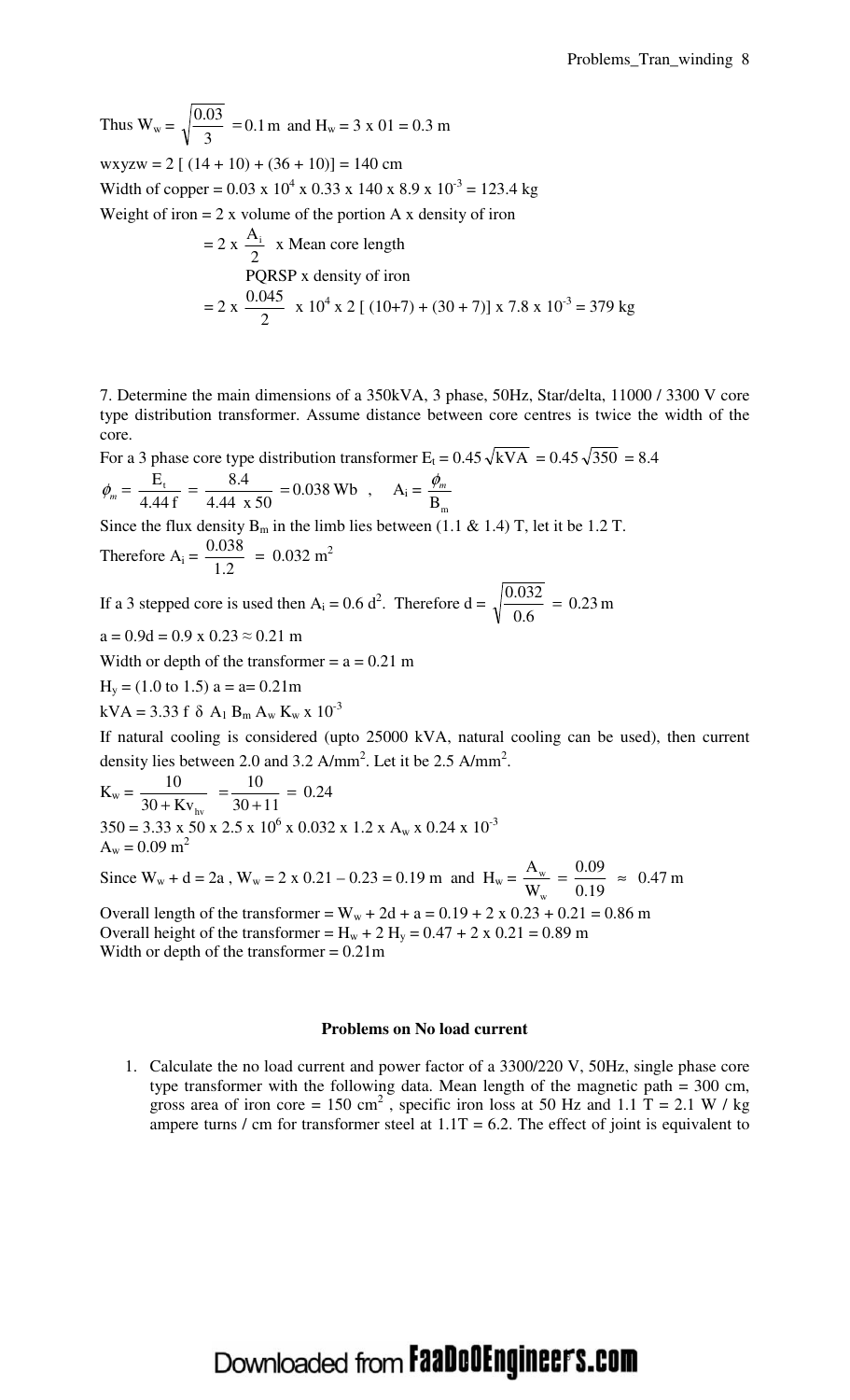Thus  $W_w = \sqrt{\frac{0.055}{2}} = 0.1 \text{ m}$ 3  $\frac{0.03}{2}$  = 0.1 m and H<sub>w</sub> = 3 x 01 = 0.3 m wxyzw =  $2 [(14 + 10) + (36 + 10)] = 140$  cm Width of copper =  $0.03 \times 10^4 \times 0.33 \times 140 \times 8.9 \times 10^{-3} = 123.4 \text{ kg}$ Weight of iron  $= 2x$  volume of the portion A x density of iron  $= 2 x$  $A_i$   $\mathbf{A}_i$ 

= 2 x 
$$
\frac{11}{2}
$$
 x Mean core length  
\nPQRSP x density of iron  
\n= 2 x  $\frac{0.045}{2}$  x 10<sup>4</sup> x 2 [(10+7) + (30 + 7)] x 7.8 x 10<sup>-3</sup> = 379 kg

7. Determine the main dimensions of a 350kVA, 3 phase, 50Hz, Star/delta, 11000 / 3300 V core type distribution transformer. Assume distance between core centres is twice the width of the core.

For a 3 phase core type distribution transformer  $E_t = 0.45 \sqrt{kVA} = 0.45 \sqrt{350} = 8.4$  $= 0.038$  Wb 4.44 x 50  $= \frac{8.4}{1.44}$ 4.44 f  $\phi_m = \frac{E_t}{4.44 \text{ s}} = \frac{8.4}{4.44 \text{ s}} = 0.038 \text{ Wb}$ ,  $A_i =$  $B_{m}$  $\phi_{m}$ 

Since the flux density  $B_m$  in the limb lies between (1.1 & 1.4) T, let it be 1.2 T.

Therefore  $A_i =$ 1.2  $\frac{0.038}{1.2} = 0.032 \text{ m}^2$ 

If a 3 stepped core is used then A<sub>i</sub> = 0.6 d<sup>2</sup>. Therefore d =  $\sqrt{\frac{0.032}{0.65}}$  = 0.23 m  $0.6$  $\frac{0.032}{0.6}$  =

 $a = 0.9d = 0.9 \times 0.23 \approx 0.21 \text{ m}$ 

Width or depth of the transformer  $= a = 0.21$  m

 $H_y = (1.0 \text{ to } 1.5) a = a = 0.21 \text{m}$ 

kVA = 3.33 f  $\delta$  A<sub>1</sub> B<sub>m</sub> A<sub>w</sub> K<sub>w</sub> x 10<sup>-3</sup>

If natural cooling is considered (upto 25000 kVA, natural cooling can be used), then current density lies between 2.0 and 3.2  $A/mm^2$ . Let it be 2.5  $A/mm^2$ .

$$
K_w = \frac{10}{30 + Kv_{hv}} = \frac{10}{30 + 11} = 0.24
$$
  
350 = 3.33 x 50 x 2.5 x 10<sup>6</sup> x 0.032 x 1.2 x A<sub>w</sub> x 0.24 x 10<sup>-3</sup>  
A<sub>w</sub> = 0.09 m<sup>2</sup>  
Since W<sub>w</sub> + d = 2a, W<sub>w</sub> = 2 x 0.21 - 0.23 = 0.19 m and H<sub>w</sub> =  $\frac{A_w}{W_w} = \frac{0.09}{0.19} \approx 0.47 m$ 

w Overall length of the transformer =  $W_w + 2d + a = 0.19 + 2 \times 0.23 + 0.21 = 0.86$  m Overall height of the transformer =  $H_w + 2 H_v = 0.47 + 2 x 0.21 = 0.89$  m Width or depth of the transformer  $= 0.21$ m

#### **Problems on No load current**

1. Calculate the no load current and power factor of a 3300/220 V, 50Hz, single phase core type transformer with the following data. Mean length of the magnetic path = 300 cm, gross area of iron core = 150 cm<sup>2</sup>, specific iron loss at 50 Hz and 1.1 T = 2.1 W / kg ampere turns / cm for transformer steel at  $1.1T = 6.2$ . The effect of joint is equivalent to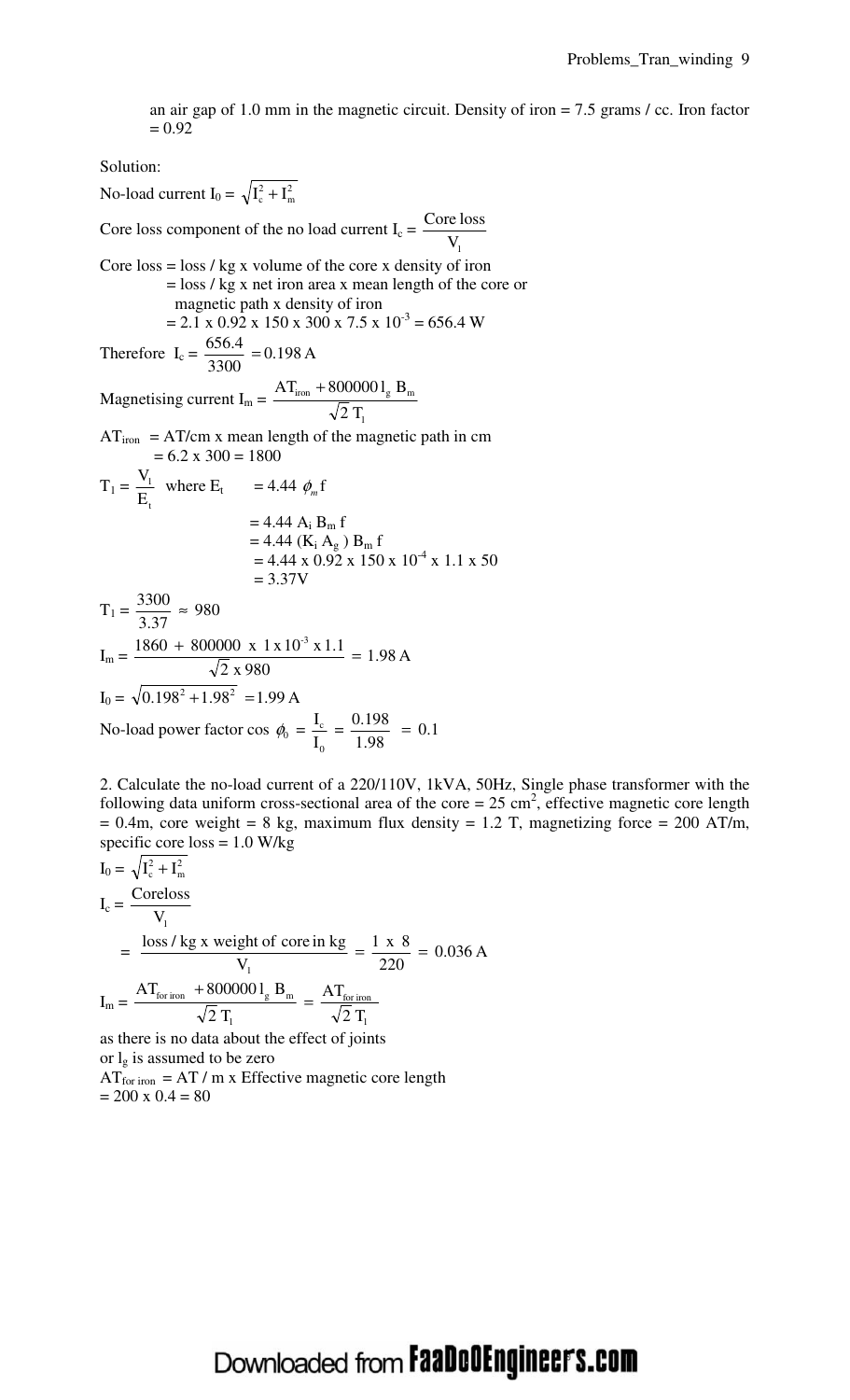an air gap of 1.0 mm in the magnetic circuit. Density of iron = 7.5 grams / cc. Iron factor  $= 0.92$ 

Solution:

No-load current I<sub>0</sub> =  $\sqrt{I_c^2 + I_n^2}$ m 2  $I_c^2 + I$ Core loss component of the no load current  $I_c =$  $V_{1}$ Core loss Core  $\cos = \cos / \text{kg} x$  volume of the core x density of iron = loss / kg x net iron area x mean length of the core or magnetic path x density of iron  $= 2.1 \times 0.92 \times 150 \times 300 \times 7.5 \times 10^{-3} = 656.4 \text{ W}$ Therefore  $I_c = \frac{0.000 \text{ m}}{0.000 \text{ m}} = 0.198 \text{ A}$ 3300  $\frac{656.4}{2388}$  = Magnetising current  $I_m =$  $2T$  $AT_{iron} + 8000001_{\circ} B$ 1  $I_{\rm iron} + 8000001_{\rm g} B_{\rm m}$  $AT<sub>iron</sub> = AT/cm x mean length of the magnetic path in cm$  $= 6.2 \times 300 = 1800$  $T_1 =$ E V t <sup>1</sup> where  $E_t$  = 4.44  $\phi_m$  f  $= 4.44 A_i B_m f$  $= 4.44$  (K<sub>i</sub> A<sub>g</sub>) B<sub>m</sub> f  $= 4.44 \times 0.92 \times 150 \times 10^{-4} \times 1.1 \times 50$  $= 3.37V$  $T_1 = \frac{5500}{3.27} \approx 980$ 3.37  $\frac{3300}{2.25} \approx$  $I_m = \frac{1.000 \times 1.000000 \times 1.7410 \times 1.11}{\sqrt{2}} = 1.98 \text{ A}$ 2 x 980  $\frac{1860 + 800000 \times 1 \times 10^{-3} \times 1.1}{\sqrt{2}} =$  $I_0 = \sqrt{0.198^2 + 1.98^2} = 1.99 A$ No-load power factor cos  $\phi_0 =$ I I  $\boldsymbol{0}$  $\frac{c}{c} = \frac{0.126}{1.08} = 0.1$ 1.98  $\frac{0.198}{1.00}$  =

2. Calculate the no-load current of a 220/110V, 1kVA, 50Hz, Single phase transformer with the following data uniform cross-sectional area of the core =  $25 \text{ cm}^2$ , effective magnetic core length  $= 0.4$ m, core weight  $= 8$  kg, maximum flux density  $= 1.2$  T, magnetizing force  $= 200$  AT/m, specific core  $loss = 1.0$  W/kg

$$
I_0 = \sqrt{I_c^2 + I_m^2}
$$
  
\n
$$
I_c = \frac{\text{Coreloss}}{V_1}
$$
  
\n
$$
= \frac{\text{loss/kg x weight of core in kg}}{V_1} = \frac{1 \times 8}{220} = 0.036 \text{ A}
$$
  
\n
$$
I_m = \frac{\text{AT}_{\text{for iron}} + 8000001_g \text{ B}_m}{\sqrt{2} \text{ T}_1} = \frac{\text{AT}_{\text{for iron}}}{\sqrt{2} \text{ T}_1}
$$

as there is no data about the effect of joints or  $l_g$  is assumed to be zero  $AT_{for iron} = AT / m$  x Effective magnetic core length  $= 200 \times 0.4 = 80$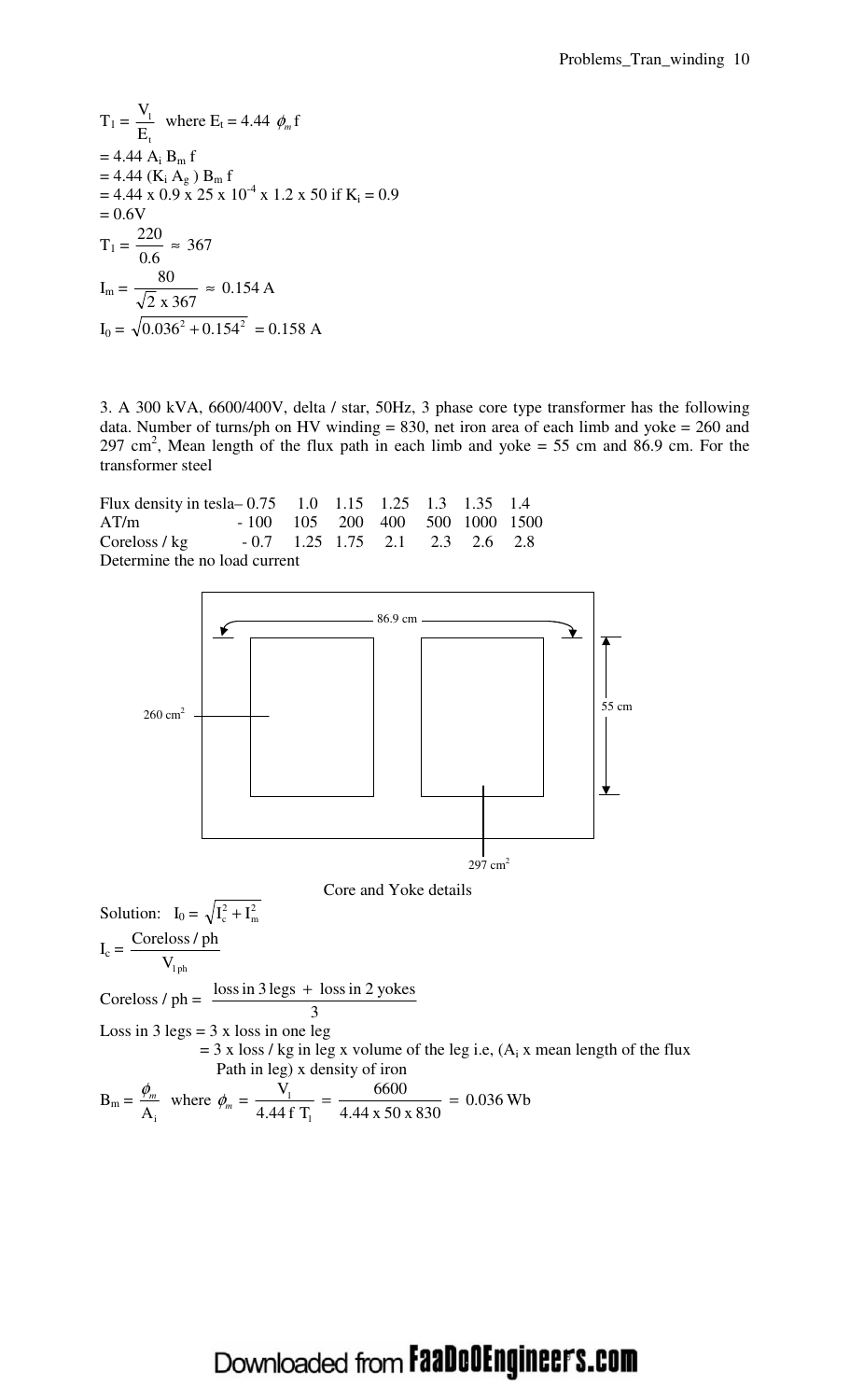$T_1 =$ E V t <sup>1</sup> where  $E_t = 4.44 \phi_m f$  $= 4.44 A_i B_m f$  $= 4.44$  (K<sub>i</sub> A<sub>g</sub>) B<sub>m</sub> f  $= 4.44 \times 0.9 \times 25 \times 10^{-4} \times 1.2 \times 50$  if K<sub>i</sub> = 0.9  $= 0.6V$  $T_1 = \frac{226}{36} \approx 367$ 0.6  $\frac{220}{25}$  ≈  $I_m = \frac{66}{\sqrt{2}} \approx 0.154 \text{ A}$ 2 x 367  $\frac{80}{25} \approx$  $I_0 = \sqrt{0.036^2 + 0.154^2} = 0.158$  A

3. A 300 kVA, 6600/400V, delta / star, 50Hz, 3 phase core type transformer has the following data. Number of turns/ph on HV winding  $= 830$ , net iron area of each limb and yoke  $= 260$  and 297 cm<sup>2</sup>, Mean length of the flux path in each limb and yoke = 55 cm and 86.9 cm. For the transformer steel

| Flux density in tesla-0.75 1.0 1.15 1.25 1.3 1.35 1.4 |                                              |  |  |  |
|-------------------------------------------------------|----------------------------------------------|--|--|--|
| AT/m                                                  | $-100$ $105$ $200$ $400$ $500$ $1000$ $1500$ |  |  |  |
| Coreloss / kg $-0.7$ 1.25 1.75 2.1 2.3 2.6 2.8        |                                              |  |  |  |
| Determine the no load current                         |                                              |  |  |  |

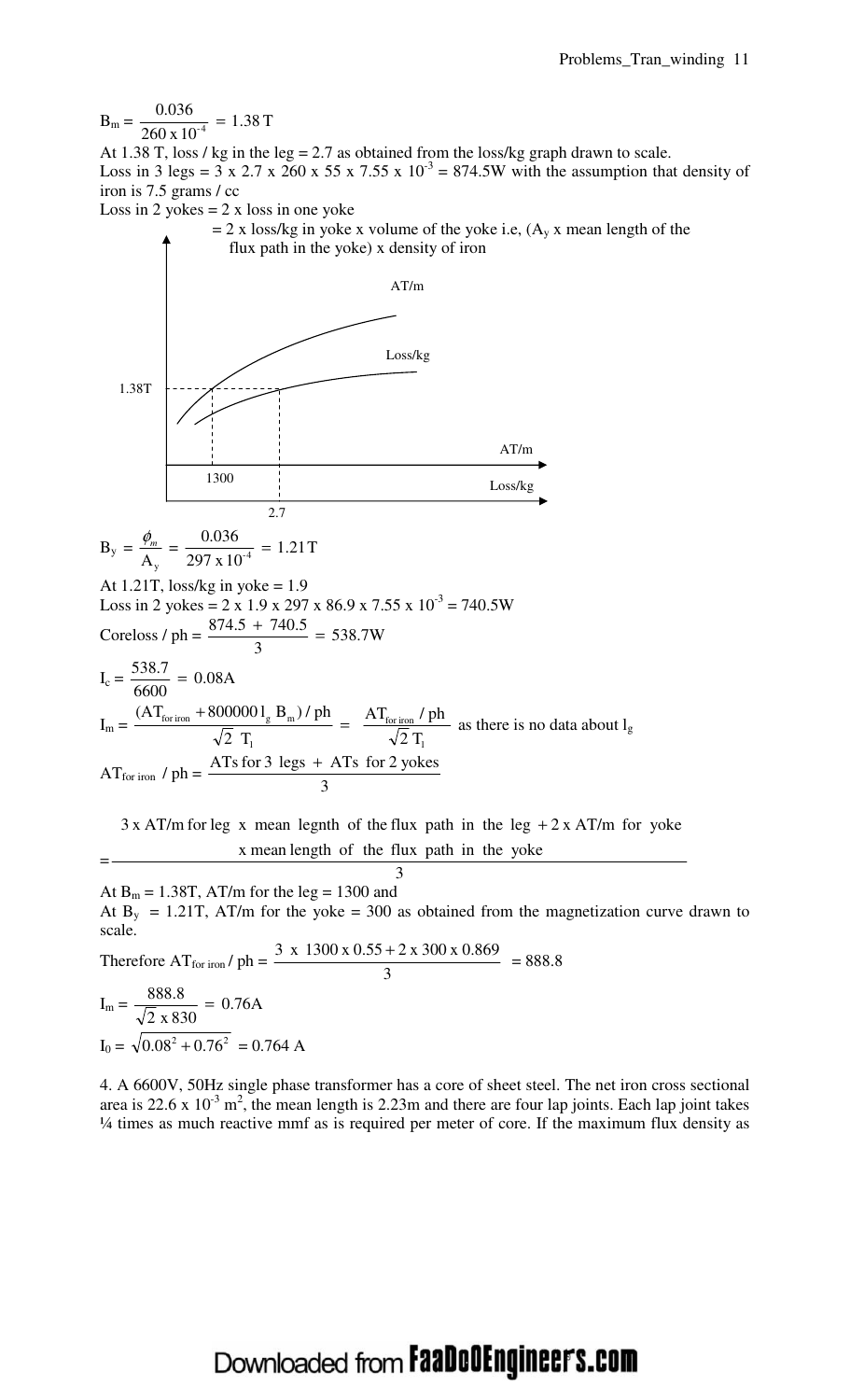$B_m = \frac{0.058}{260 \times 10^{-4}} = 1.38$  T 260 x 10 0.036  $\frac{1}{-4}$  =

At 1.38 T, loss / kg in the leg = 2.7 as obtained from the loss/kg graph drawn to scale. Loss in 3 legs =  $3 \times 2.7 \times 260 \times 55 \times 7.55 \times 10^{-3} = 874.5W$  with the assumption that density of iron is 7.5 grams / cc

Loss in 2 yokes  $= 2 \times$  loss in one yoke



 $=$   $\frac{x \text{ mean length of the flux path in the yoke}}{x \text{ mean length of the flux path in the yoke}}$ 

3 At  $B_m = 1.38T$ , AT/m for the leg = 1300 and At  $B_y = 1.21T$ , AT/m for the yoke = 300 as obtained from the magnetization curve drawn to scale. Therefore  $AT_{for\,iron}$  / ph = 3  $\frac{3 \times 1300 \times 0.55 + 2 \times 300 \times 0.869}{2} = 888.8$  $8888$ 

$$
I_{\text{m}} = \frac{888.8}{\sqrt{2} \times 830} = 0.76 \text{A}
$$
  

$$
I_0 = \sqrt{0.08^2 + 0.76^2} = 0.764 \text{ A}
$$

4. A 6600V, 50Hz single phase transformer has a core of sheet steel. The net iron cross sectional area is 22.6 x  $10^{-3}$  m<sup>2</sup>, the mean length is 2.23m and there are four lap joints. Each lap joint takes ¼ times as much reactive mmf as is required per meter of core. If the maximum flux density as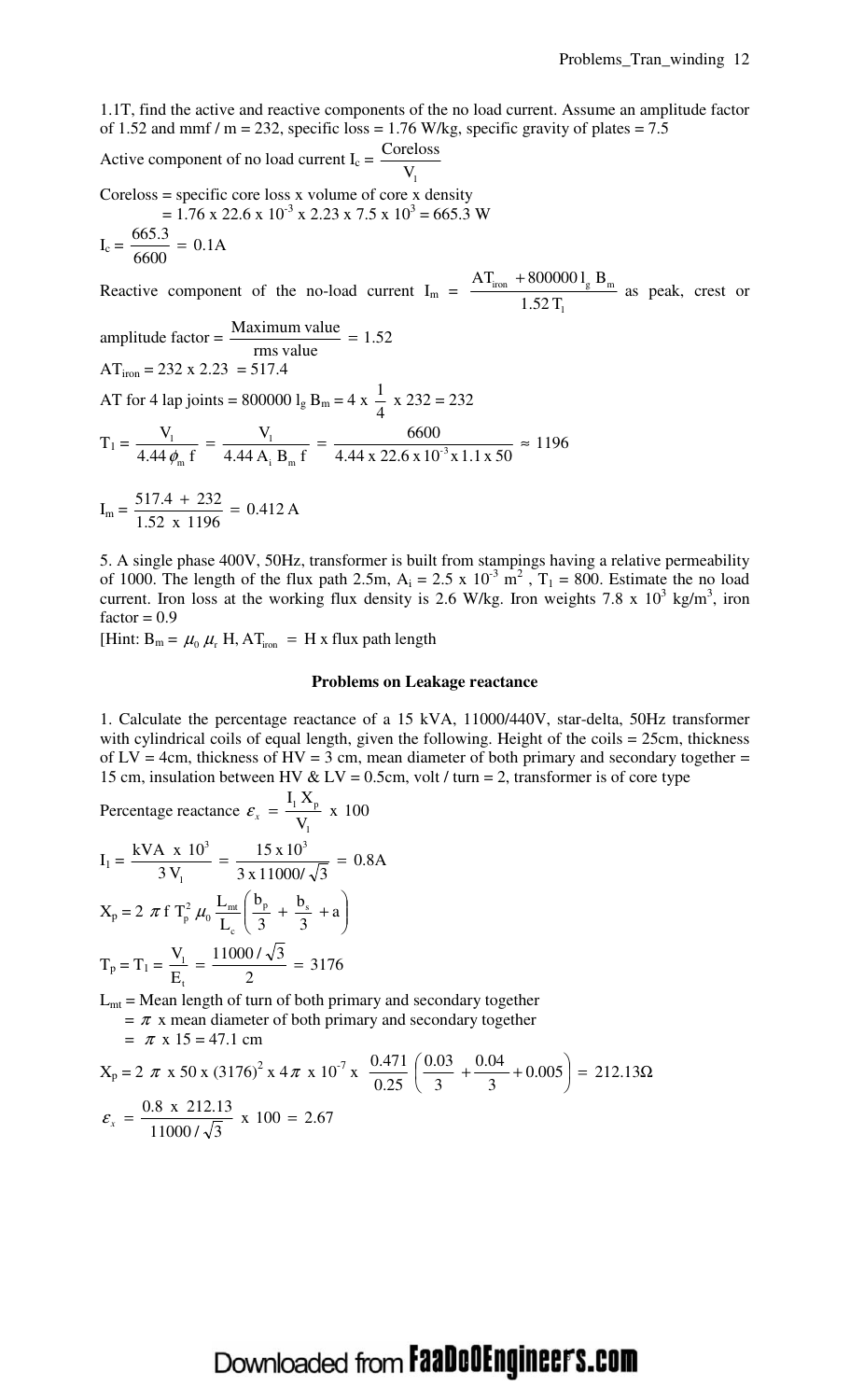1.1T, find the active and reactive components of the no load current. Assume an amplitude factor of 1.52 and mmf / m = 232, specific loss = 1.76 W/kg, specific gravity of plates = 7.5

Active component of no load current  $I_c$  =  $V_{1}$ Coreloss

Coreloss = specific core loss  $x$  volume of core  $x$  density  $= 1.76 \times 22.6 \times 10^{-3} \times 2.23 \times 7.5 \times 10^{3} = 665.3 \text{ W}$ 

$$
= 1.70 \times 22.0 \times 10 \times 2.23 \times 7.3 \times 10 =
$$

$$
I_c = \frac{665.3}{6600} = 0.1A
$$

Reactive component of the no-load current  $I_m$  =  $1.52T$  $AT_{\text{iron}} + 8000001_{\circ} B$ 1  $\frac{1}{\text{iron}}$  + 800000  $l_g B_m$  as peak, crest or

amplitude factor = 
$$
\frac{\text{Maximum value}}{\text{rms value}}
$$
 = 1.52  
AT<sub>iron</sub> = 232 x 2.23 = 517.4

AT for 4 lap joints =  $800000 l<sub>g</sub> B<sub>m</sub> = 4 x$ 4  $\frac{1}{1}$  x 232 = 232

$$
T_1 = \frac{V_1}{4.44 \phi_m f} = \frac{V_1}{4.44 A_i B_m f} = \frac{6600}{4.44 x 22.6 x 10^3 x 1.1 x 50} \approx 1196
$$

$$
I_{\rm m} = \frac{517.4 + 232}{1.52 \times 1196} = 0.412 \,\mathrm{A}
$$

5. A single phase 400V, 50Hz, transformer is built from stampings having a relative permeability of 1000. The length of the flux path 2.5m,  $A_i = 2.5 \times 10^{-3} \text{ m}^2$ ,  $T_1 = 800$ . Estimate the no load current. Iron loss at the working flux density is 2.6 W/kg. Iron weights 7.8 x  $10^3$  kg/m<sup>3</sup>, iron  $factor = 0.9$ 

[Hint:  $B_m = \mu_0 \mu_r H$ ,  $AT_{iron} = H x$  flux path length

#### **Problems on Leakage reactance**

1. Calculate the percentage reactance of a 15 kVA, 11000/440V, star-delta, 50Hz transformer with cylindrical coils of equal length, given the following. Height of the coils = 25cm, thickness of  $LV = 4$ cm, thickness of  $HV = 3$  cm, mean diameter of both primary and secondary together = 15 cm, insulation between HV & LV = 0.5cm, volt / turn = 2, transformer is of core type

Percentage reactance  $\varepsilon_x = \frac{1 - p}{2} x 100$ V  ${\rm I}_{{}_{1}}\,{\rm X}$ 1  $\mathcal{E}_x = \frac{11 A_p}{N}$  $I_1 = \frac{N + 1.8 + 10}{2M} = \frac{15.8 + 10}{2.4488 \times 10^{-10}} = 0.8$ A  $3 \times 11000 / \sqrt{3}$  $= \frac{15 \times 10}{100000}$  $3V$ kVA x  $10^3$   $15 \times 10^3$ 1 3  $=\frac{15 \text{ m/s}}{2 \text{ m/s}^2}$  =

$$
X_{p} = 2 \pi f T_{p}^{2} \mu_{0} \frac{L_{mt}}{L_{c}} \left( \frac{b_{p}}{3} + \frac{b_{s}}{3} + a \right)
$$

$$
T_{p} = T_{1} = \frac{V_{1}}{E_{t}} = \frac{11000/\sqrt{3}}{2} = 3176
$$

 $L_{mt}$  = Mean length of turn of both primary and secondary together

 $= \pi$  x mean diameter of both primary and secondary together

$$
= \pi \times 15 = 47.1 \text{ cm}
$$

$$
X_p = 2 \pi \times 50 \times (3176)^2 \times 4 \pi \times 10^{-7} \times \frac{0.471}{0.25} \left( \frac{0.03}{3} + \frac{0.04}{3} + 0.005 \right) = 212.13 \Omega
$$
  

$$
\varepsilon_x = \frac{0.8 \times 212.13}{11000 / \sqrt{3}} \times 100 = 2.67
$$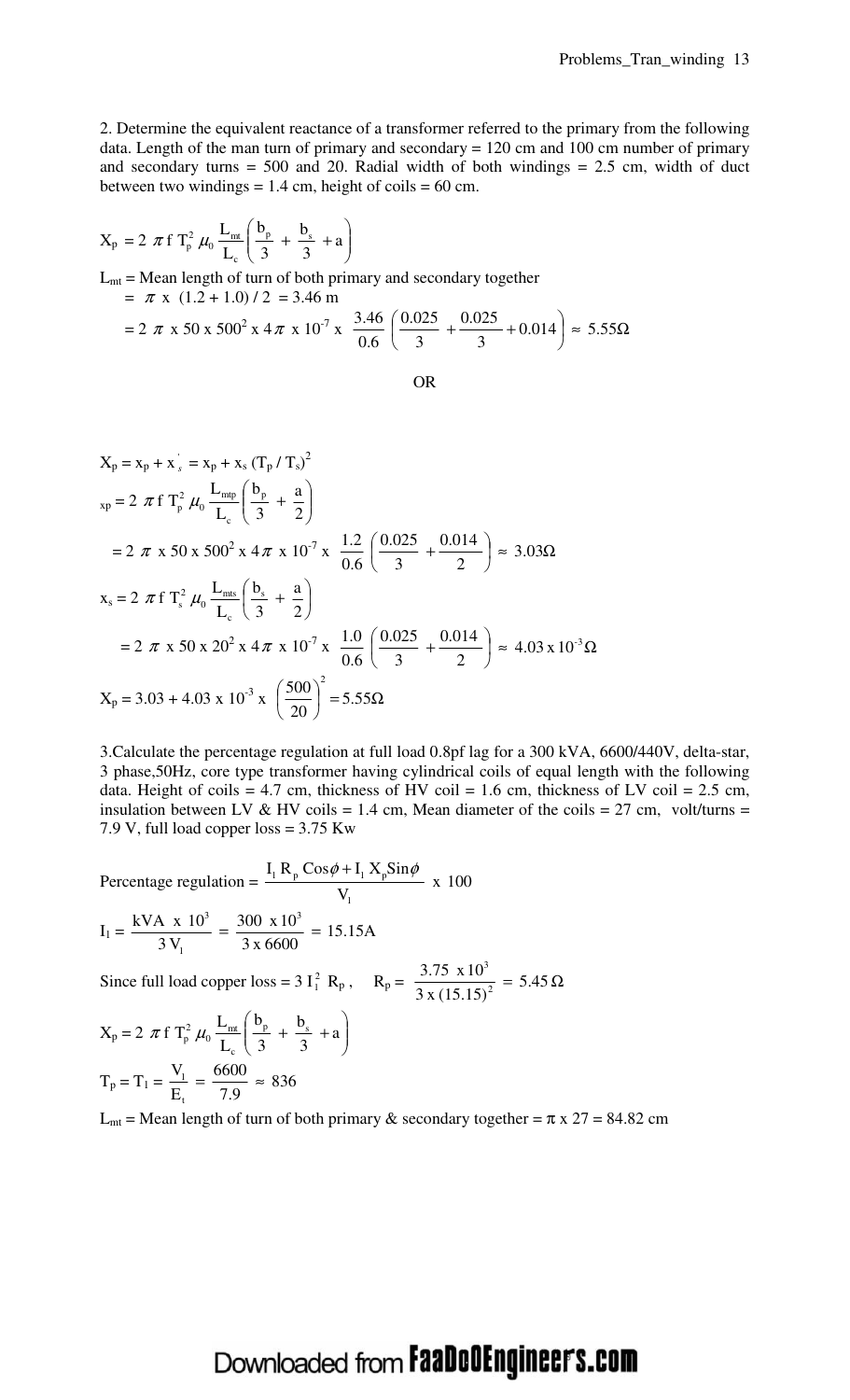2. Determine the equivalent reactance of a transformer referred to the primary from the following data. Length of the man turn of primary and secondary = 120 cm and 100 cm number of primary and secondary turns  $= 500$  and 20. Radial width of both windings  $= 2.5$  cm, width of duct between two windings  $= 1.4$  cm, height of coils  $= 60$  cm.

$$
X_p = 2 \pi f T_p^2 \mu_0 \frac{L_{mt}}{L_c} \left( \frac{b_p}{3} + \frac{b_s}{3} + a \right)
$$
  
\n
$$
L_{mt} = \text{Mean length of turn of both primary and secondary together}
$$
  
\n
$$
= \pi x (1.2 + 1.0) / 2 = 3.46 \text{ m}
$$
  
\n
$$
= 2 \pi x 50 x 500^2 x 4 \pi x 10^{-7} x \frac{3.46}{0.6} \left( \frac{0.025}{3} + \frac{0.025}{3} + 0.014 \right) \approx 5.55 \Omega
$$

OR

$$
X_p = x_p + x_s' = x_p + x_s (T_p / T_s)^2
$$
  
\n
$$
x_p = 2 \pi f T_p^2 \mu_0 \frac{L_{mp}}{L_c} \left( \frac{b_p}{3} + \frac{a}{2} \right)
$$
  
\n
$$
= 2 \pi x 50 x 500^2 x 4 \pi x 10^{-7} x \frac{1.2}{0.6} \left( \frac{0.025}{3} + \frac{0.014}{2} \right) \approx 3.03 \Omega
$$
  
\n
$$
x_s = 2 \pi f T_s^2 \mu_0 \frac{L_{ms}}{L_c} \left( \frac{b_s}{3} + \frac{a}{2} \right)
$$
  
\n
$$
= 2 \pi x 50 x 20^2 x 4 \pi x 10^{-7} x \frac{1.0}{0.6} \left( \frac{0.025}{3} + \frac{0.014}{2} \right) \approx 4.03 x 10^{-3} \Omega
$$
  
\n
$$
X_p = 3.03 + 4.03 x 10^{-3} x \left( \frac{500}{20} \right)^2 = 5.55 \Omega
$$

3.Calculate the percentage regulation at full load 0.8pf lag for a 300 kVA, 6600/440V, delta-star, 3 phase,50Hz, core type transformer having cylindrical coils of equal length with the following data. Height of coils = 4.7 cm, thickness of HV coil = 1.6 cm, thickness of LV coil = 2.5 cm, insulation between LV & HV coils = 1.4 cm, Mean diameter of the coils = 27 cm, volt/turns = 7.9 V, full load copper loss = 3.75 Kw

Percentage regulation = 
$$
\frac{I_1 R_p \cos \phi + I_1 X_p \sin \phi}{V_1}
$$
 x 100  

$$
I_1 = \frac{kVA \times 10^3}{3 V_1} = \frac{300 \times 10^3}{3 \times 6600} = 15.15 A
$$

Since full load copper loss = 3 I<sub>1</sub><sup>2</sup> R<sub>p</sub>, R<sub>p</sub> =  $\frac{3.75 \times 10}{2 \times (15.15)^2}$  = 5.45 Ω 3 x (15.15) 3.75 x 10 2 3

$$
X_p = 2 \pi f T_p^2 \mu_0 \frac{L_{mt}}{L_c} \left( \frac{b_p}{3} + \frac{b_s}{3} + a \right)
$$
  

$$
T_p = T_1 = \frac{V_1}{E_t} = \frac{6600}{7.9} \approx 836
$$

L<sub>mt</sub> = Mean length of turn of both primary & secondary together =  $\pi$  x 27 = 84.82 cm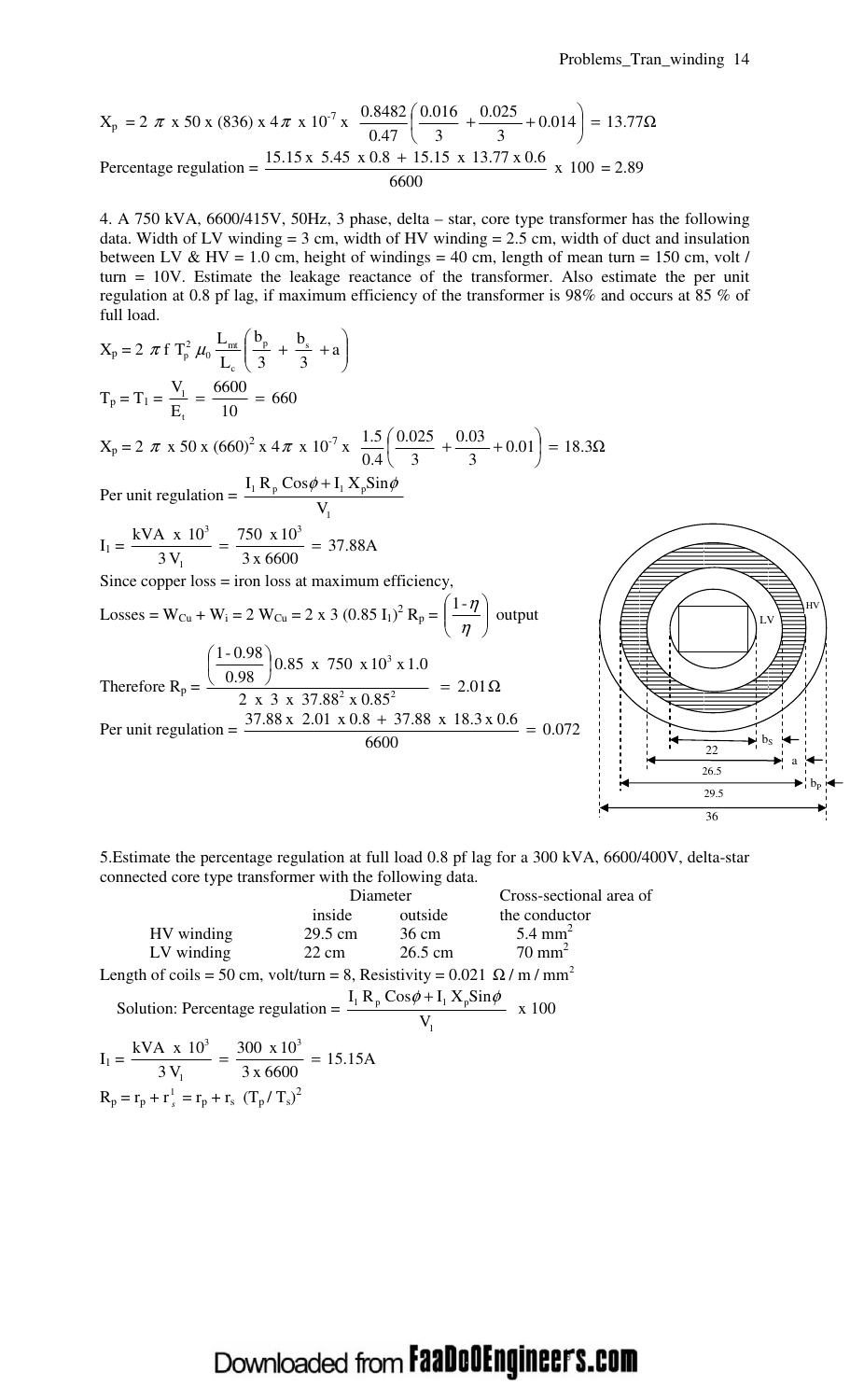36

$$
X_p = 2 \pi \times 50 \times (836) \times 4 \pi \times 10^{-7} \times \frac{0.8482}{0.47} \left( \frac{0.016}{3} + \frac{0.025}{3} + 0.014 \right) = 13.77 \Omega
$$
  
Percentage regulation = 
$$
\frac{15.15 \times 5.45 \times 0.8 + 15.15 \times 13.77 \times 0.6}{6600} \times 100 = 2.89
$$

4. A 750 kVA, 6600/415V, 50Hz, 3 phase, delta – star, core type transformer has the following data. Width of LV winding  $= 3$  cm, width of HV winding  $= 2.5$  cm, width of duct and insulation between LV & HV = 1.0 cm, height of windings = 40 cm, length of mean turn = 150 cm, volt / turn = 10V. Estimate the leakage reactance of the transformer. Also estimate the per unit regulation at 0.8 pf lag, if maximum efficiency of the transformer is 98% and occurs at 85 % of full load.



5.Estimate the percentage regulation at full load 0.8 pf lag for a 300 kVA, 6600/400V, delta-star connected core type transformer with the following data.

|                                                                                             | Diameter                   |                          | Cross-sectional area of |  |  |
|---------------------------------------------------------------------------------------------|----------------------------|--------------------------|-------------------------|--|--|
|                                                                                             | inside                     | outside                  | the conductor           |  |  |
| HV winding                                                                                  | 29.5 cm                    | 36 cm $5.4 \text{ mm}^2$ |                         |  |  |
| LV winding                                                                                  | 26.5 cm<br>$22 \text{ cm}$ |                          | $70 \text{ mm}^2$       |  |  |
| Length of coils = 50 cm, volt/turn = 8, Resistivity = $0.021 \Omega / m / mm^2$             |                            |                          |                         |  |  |
| Solution: Percentage regulation = $\frac{I_1 R_p \cos \phi + I_1 X_p \sin \phi}{I_1}$ x 100 |                            |                          |                         |  |  |
| $=\frac{kVA \times 10^3}{3 V_1} = \frac{300 \times 10^3}{3 \times 6600} = 15.15 A$          |                            |                          |                         |  |  |

$$
R_p = r_p + r_s^1 = r_p + r_s (T_p / T_s)^2
$$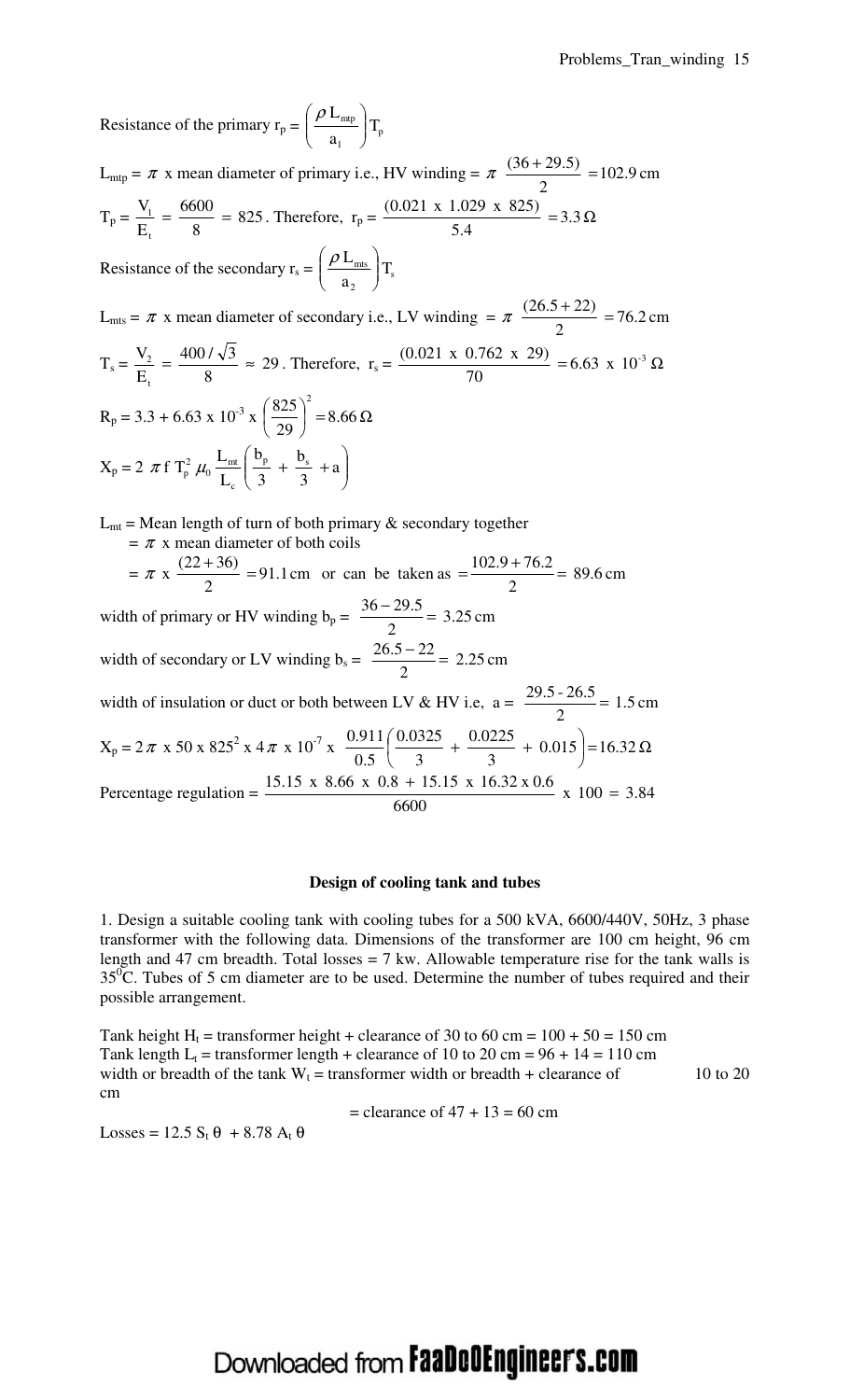Resistance of the primary  $r_p = \frac{pE_{\text{mtp}}}{g}$   $T_p$ 1 a L  $\overline{\phantom{a}}$ J  $\backslash$  $\overline{\phantom{a}}$ l  $\sqrt{\rho}$ 

 $L_{\text{mtp}} = \pi$  x mean diameter of primary i.e., HV winding =  $\pi \frac{(56.125.5)}{2}$  = 102.9 cm 2  $\frac{(36+29.5)}{2}$  =  $T_p = \frac{V_1}{R} = \frac{0.000}{3} = 825$ 8  $=\frac{6600}{2}$ E V t  $\frac{1}{1} = \frac{0.000}{9} = 825$ . Therefore,  $r_p = \frac{(0.021 \text{ A} \cdot 1.025 \text{ A} \cdot 0.25)}{54} = 3.3 \Omega$ 5.4 .0( 021 x 1.029 x 825) Resistance of the secondary  $r_s = \frac{\mu_{rms}}{s} T_s$ 2  $\frac{mts}{\sqrt{1}}$ a L  $\overline{\phantom{a}}$ J  $\backslash$  $\overline{\phantom{a}}$ l  $\int \rho$ 

 $L_{\text{mts}} = \pi$  x mean diameter of secondary i.e., LV winding  $= \pi \frac{(20.5 + 22)}{2} = 76.2$  cm 2  $\frac{(26.5+22)}{2}$  =  $T_s = \frac{V_2}{T} = \frac{1007 \text{ V}^3}{9} \approx 29$ 8  $=\frac{400/\sqrt{3}}{2}$ E V t  $\frac{2}{2} = \frac{4007 \text{ V}^3}{9} \approx 29$ . Therefore,  $r_s = \frac{(0.021 \text{ A } 0.702 \text{ A } 29)}{79} = 6.63 \text{ x } 10^{-3} \Omega$ 70  $(0.021 \times 0.762 \times 29)$   $-6.63 \times 10^{-3}$  $R_p = 3.3 + 6.63 \times 10^{-3} \times \left( \frac{623}{20} \right) = 8.66 \Omega$ J  $\left(\frac{825}{2}\right)$ l ſ 8.66 29 825)<sup>2</sup>  $X_p = 2 \pi f T_p^2 \mu_0 \frac{2m f}{r} \left| \frac{p}{r} + \frac{S_s}{r} + a \right|$ 3  $+\frac{b}{a}$ 3 b L f T<sub>p</sub>  $\mu_0 \frac{L_{\text{mt}}}{L} \left( \frac{b_p}{2} + \frac{b_s}{2} \right)$ c  $\frac{L_{\text{mt}}}{I}$  $\frac{1}{p} \mu_0 \frac{L_{\text{mt}}}{I} \left| \frac{v_p}{2} + \frac{v_s}{2} + a \right|$ J  $\backslash$  $\overline{\phantom{a}}$ l ſ  $\pi f$  T<sub>p</sub>  $\mu_0 \frac{m}{I}$   $\frac{m}{2}$  +  $\frac{m}{2}$  +

 $L_{mt}$  = Mean length of turn of both primary  $\&$  secondary together  $= \pi$  x mean diameter of both coils  $=\pi$  x  $\frac{(22 + 30)}{2}$  = 91.1 cm or can be taken as  $=\frac{(62.5 + 10.2)}{2}$  = 89.6 cm 2  $= 91.1 \text{ cm}$  or can be taken as  $= \frac{102.9 + 76.2}{2}$ 2  $\frac{(22+36)}{2}$  = 91.1 cm or can be taken as =  $\frac{102.9 + 76.2}{2}$  = width of primary or HV winding  $b_p = \frac{56-25.5}{2} = 3.25$  cm 2  $\frac{36-29.5}{2}$ width of secondary or LV winding  $b_s = \frac{20.5 - 22}{3} = 2.25$  cm  $\frac{26.5 - 22}{2} =$ 

2 width of insulation or duct or both between LV & HV i.e,  $a = \frac{29.15 - 20.15}{2} = 1.5$  cm 2  $\frac{29.5 - 26.5}{2} =$  $X_p = 2\pi$  x 50 x 825<sup>2</sup> x 4π x 10<sup>-7</sup> x  $\frac{0.911}{0.55}$   $\frac{0.0323}{0.2}$  +  $\frac{0.0223}{0.2}$  + 0.015 = 16.32 Ω J  $\left(\frac{0.0325}{1000} + \frac{0.0225}{1000} + 0.015\right)$ l ſ  $+ \frac{0.0222}{2} + 0.015 = 16.32$ 3  $+\frac{0.0225}{2}$ 3 .0 0325 0.5 .0 911 Percentage regulation =  $\frac{15.15 \times 10^{10} \times 10^{10} \times 10^{10} \times 10^{10}}{6600 \times 10^{10} \times 10^{10}}$  x 100 = 3.84 6600  $\frac{15.15 \times 8.66 \times 0.8 + 15.15 \times 16.32 \times 0.6}{15.15 \times 16.32 \times 0.6} \times 100 =$ 

#### **Design of cooling tank and tubes**

1. Design a suitable cooling tank with cooling tubes for a 500 kVA, 6600/440V, 50Hz, 3 phase transformer with the following data. Dimensions of the transformer are 100 cm height, 96 cm length and 47 cm breadth. Total losses  $= 7$  kw. Allowable temperature rise for the tank walls is  $35^{\circ}$ C. Tubes of 5 cm diameter are to be used. Determine the number of tubes required and their possible arrangement.

Tank height H<sub>t</sub> = transformer height + clearance of 30 to 60 cm =  $100 + 50 = 150$  cm Tank length  $L_t$  = transformer length + clearance of 10 to 20 cm =  $96 + 14 = 110$  cm width or breadth of the tank  $W_t$  = transformer width or breadth + clearance of 10 to 20 cm

 $=$  clearance of 47 + 13 = 60 cm

Losses = 12.5  $S_t$   $\theta$  + 8.78  $A_t$   $\theta$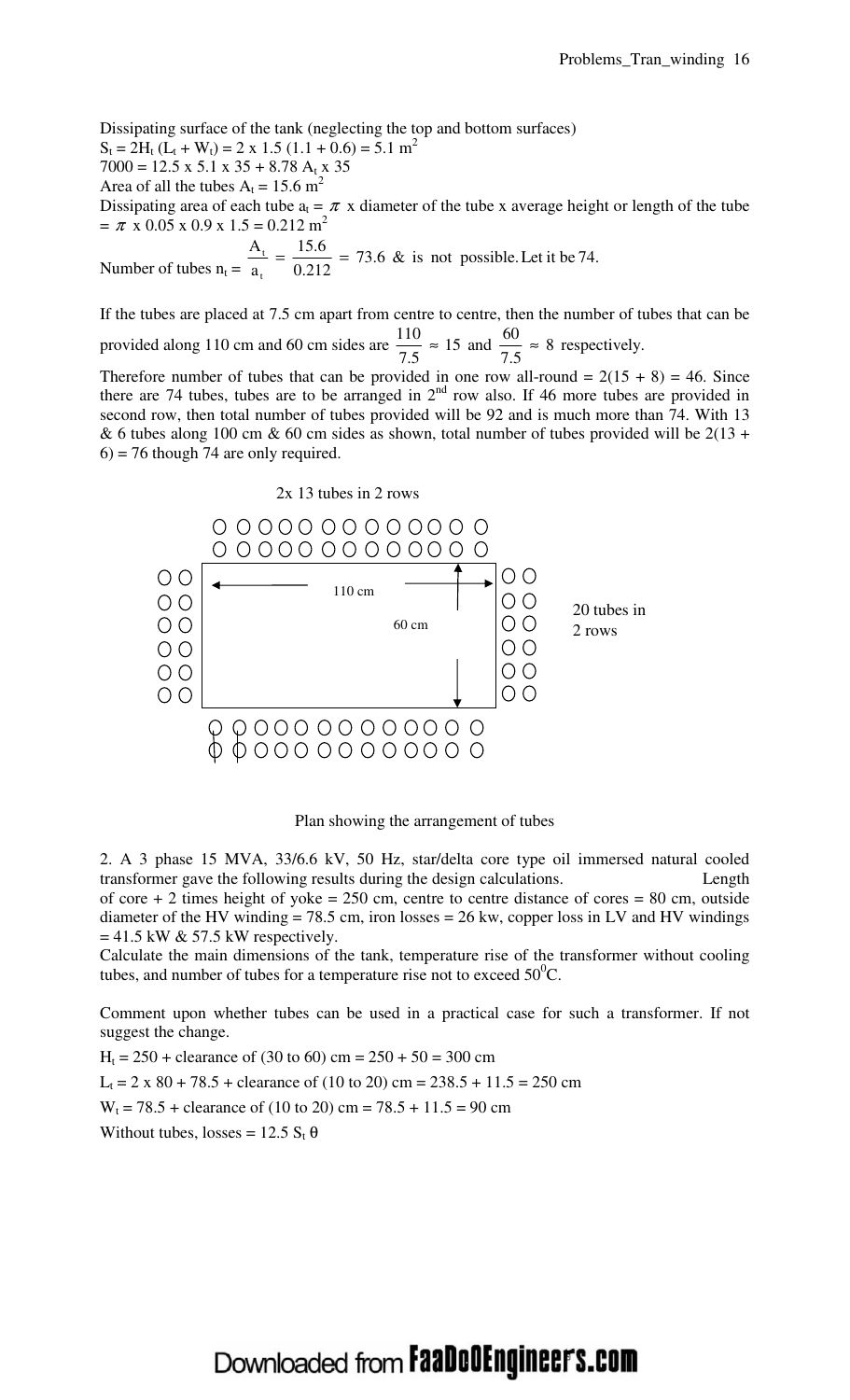Dissipating surface of the tank (neglecting the top and bottom surfaces)

 $S_t = 2H_t (L_t + W_t) = 2 \times 1.5 (1.1 + 0.6) = 5.1 m^2$ 

 $7000 = 12.5 \times 5.1 \times 35 + 8.78 A_t \times 35$ 

Area of all the tubes  $A_t = 15.6$  m<sup>2</sup>

Dissipating area of each tube  $a_t = \pi x$  diameter of the tube x average height or length of the tube  $= \pi$  x 0.05 x 0.9 x 1.5 = 0.212 m<sup>2</sup>

Number of tubes  $n_t =$  $= 73.6 \&$  is not possible. Let it be 74. 0.212  $=\frac{15.6}{8.24}$ a A t  $t = \frac{13.0}{0.242}$  =

If the tubes are placed at 7.5 cm apart from centre to centre, then the number of tubes that can be provided along 110 cm and 60 cm sides are  $\frac{110}{25} \approx 15$  and  $\frac{90}{25} \approx 8$  respectively. 7.5  $\approx 15$  and  $\frac{60}{75}$ 7.5  $\frac{110}{25} \approx 15$  and  $\frac{60}{25} \approx$ 

Therefore number of tubes that can be provided in one row all-round =  $2(15 + 8) = 46$ . Since there are 74 tubes, tubes are to be arranged in  $2<sup>nd</sup>$  row also. If 46 more tubes are provided in second row, then total number of tubes provided will be 92 and is much more than 74. With 13 & 6 tubes along 100 cm & 60 cm sides as shown, total number of tubes provided will be  $2(13 +$  $6$  = 76 though 74 are only required.



Plan showing the arrangement of tubes

2. A 3 phase 15 MVA, 33/6.6 kV, 50 Hz, star/delta core type oil immersed natural cooled transformer gave the following results during the design calculations. Length of core  $+ 2$  times height of yoke = 250 cm, centre to centre distance of cores = 80 cm, outside diameter of the HV winding  $= 78.5$  cm, iron losses  $= 26$  kw, copper loss in LV and HV windings  $= 41.5$  kW & 57.5 kW respectively.

Calculate the main dimensions of the tank, temperature rise of the transformer without cooling tubes, and number of tubes for a temperature rise not to exceed  $50^{\circ}$ C.

Comment upon whether tubes can be used in a practical case for such a transformer. If not suggest the change.

 $H_t = 250 + \text{clearance of } (30 \text{ to } 60) \text{ cm} = 250 + 50 = 300 \text{ cm}$ 

 $L_t = 2 \times 80 + 78.5 + \text{clearance of } (10 \text{ to } 20) \text{ cm} = 238.5 + 11.5 = 250 \text{ cm}$ 

 $W_t = 78.5 + \text{clearance of } (10 \text{ to } 20) \text{ cm} = 78.5 + 11.5 = 90 \text{ cm}$ 

Without tubes, losses =  $12.5 S_t \theta$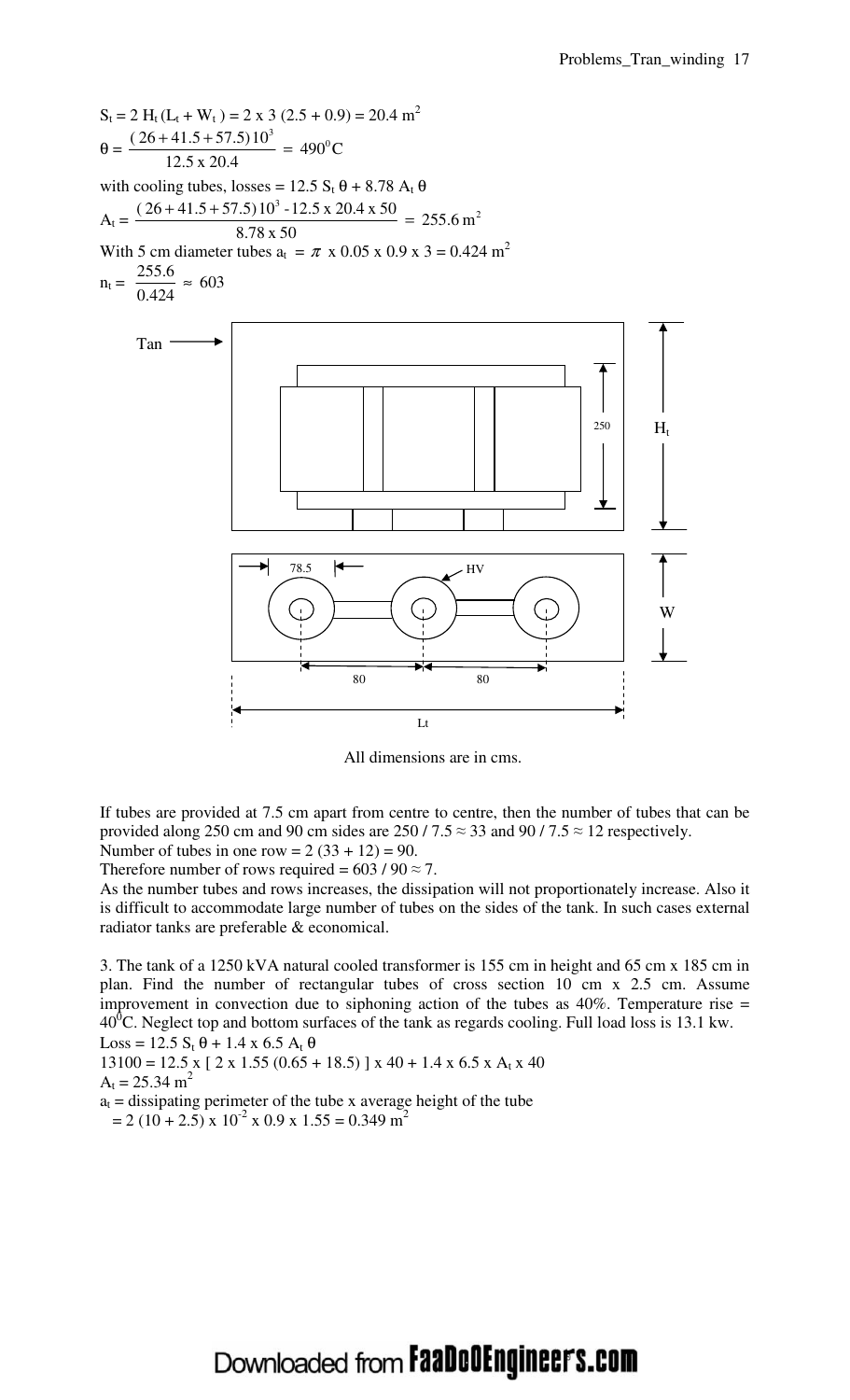

All dimensions are in cms.

If tubes are provided at 7.5 cm apart from centre to centre, then the number of tubes that can be provided along 250 cm and 90 cm sides are 250 / 7.5  $\approx$  33 and 90 / 7.5  $\approx$  12 respectively.

Number of tubes in one row =  $2(33 + 12) = 90$ . Therefore number of rows required =  $603 / 90 \approx 7$ .

As the number tubes and rows increases, the dissipation will not proportionately increase. Also it is difficult to accommodate large number of tubes on the sides of the tank. In such cases external radiator tanks are preferable & economical.

3. The tank of a 1250 kVA natural cooled transformer is 155 cm in height and 65 cm x 185 cm in plan. Find the number of rectangular tubes of cross section 10 cm x 2.5 cm. Assume improvement in convection due to siphoning action of the tubes as  $40\%$ . Temperature rise =  $40^0$ C. Neglect top and bottom surfaces of the tank as regards cooling. Full load loss is 13.1 kw. Loss = 12.5  $S_t \theta$  + 1.4 x 6.5  $A_t \theta$ 

 $13100 = 12.5$  x [ 2 x 1.55 (0.65 + 18.5) ] x 40 + 1.4 x 6.5 x A<sub>t</sub> x 40

$$
A_t = 25.34 \text{ m}^2
$$

 $a_t$  = dissipating perimeter of the tube x average height of the tube  $= 2 (10 + 2.5) \times 10^{-2} \times 0.9 \times 1.55 = 0.349 \text{ m}^2$